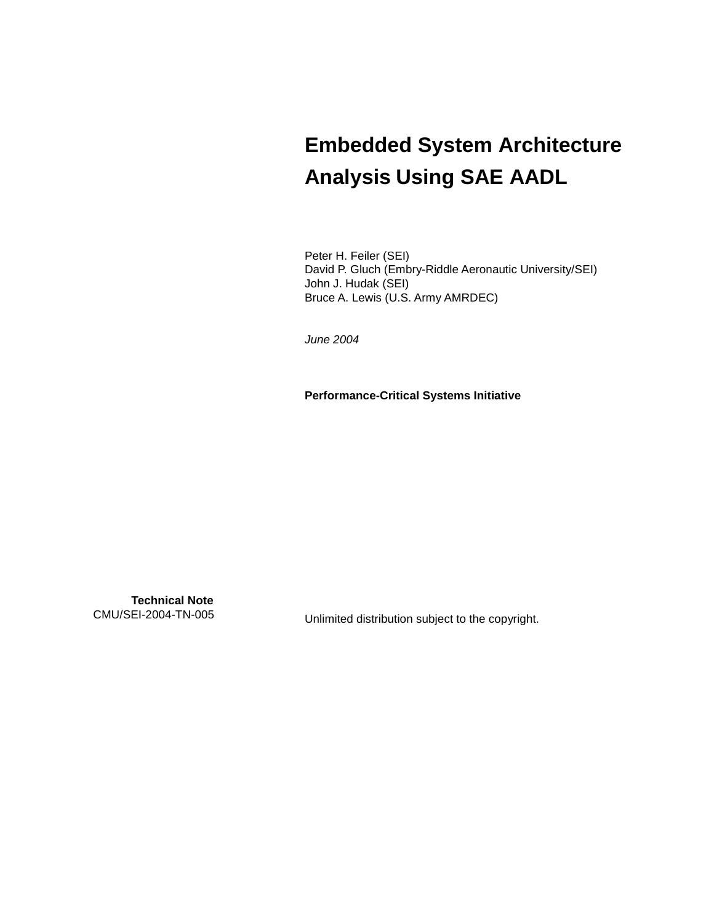# **Embedded System Architecture Analysis Using SAE AADL**

Peter H. Feiler (SEI) David P. Gluch (Embry-Riddle Aeronautic University/SEI) John J. Hudak (SEI) Bruce A. Lewis (U.S. Army AMRDEC)

*June 2004* 

**Performance-Critical Systems Initiative** 

**Technical Note Technical Note** CMU/SEI-2004-TN-005

Unlimited distribution subject to the copyright.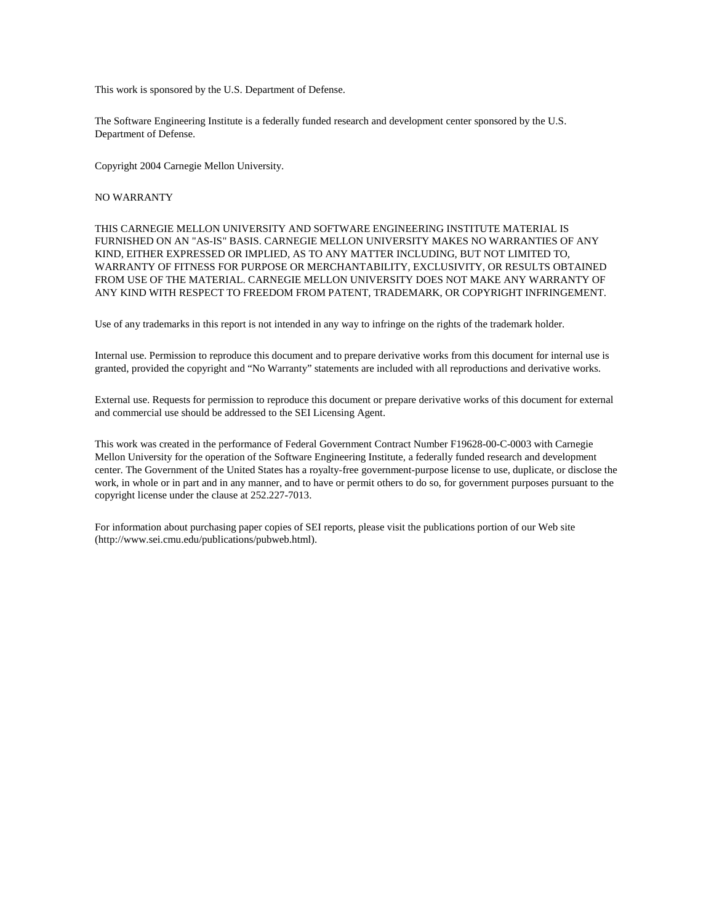This work is sponsored by the U.S. Department of Defense.

The Software Engineering Institute is a federally funded research and development center sponsored by the U.S. Department of Defense.

Copyright 2004 Carnegie Mellon University.

NO WARRANTY

THIS CARNEGIE MELLON UNIVERSITY AND SOFTWARE ENGINEERING INSTITUTE MATERIAL IS FURNISHED ON AN "AS-IS" BASIS. CARNEGIE MELLON UNIVERSITY MAKES NO WARRANTIES OF ANY KIND, EITHER EXPRESSED OR IMPLIED, AS TO ANY MATTER INCLUDING, BUT NOT LIMITED TO, WARRANTY OF FITNESS FOR PURPOSE OR MERCHANTABILITY, EXCLUSIVITY, OR RESULTS OBTAINED FROM USE OF THE MATERIAL. CARNEGIE MELLON UNIVERSITY DOES NOT MAKE ANY WARRANTY OF ANY KIND WITH RESPECT TO FREEDOM FROM PATENT, TRADEMARK, OR COPYRIGHT INFRINGEMENT.

Use of any trademarks in this report is not intended in any way to infringe on the rights of the trademark holder.

Internal use. Permission to reproduce this document and to prepare derivative works from this document for internal use is granted, provided the copyright and "No Warranty" statements are included with all reproductions and derivative works.

External use. Requests for permission to reproduce this document or prepare derivative works of this document for external and commercial use should be addressed to the SEI Licensing Agent.

This work was created in the performance of Federal Government Contract Number F19628-00-C-0003 with Carnegie Mellon University for the operation of the Software Engineering Institute, a federally funded research and development center. The Government of the United States has a royalty-free government-purpose license to use, duplicate, or disclose the work, in whole or in part and in any manner, and to have or permit others to do so, for government purposes pursuant to the copyright license under the clause at 252.227-7013.

For information about purchasing paper copies of SEI reports, please visit the publications portion of our Web site (http://www.sei.cmu.edu/publications/pubweb.html).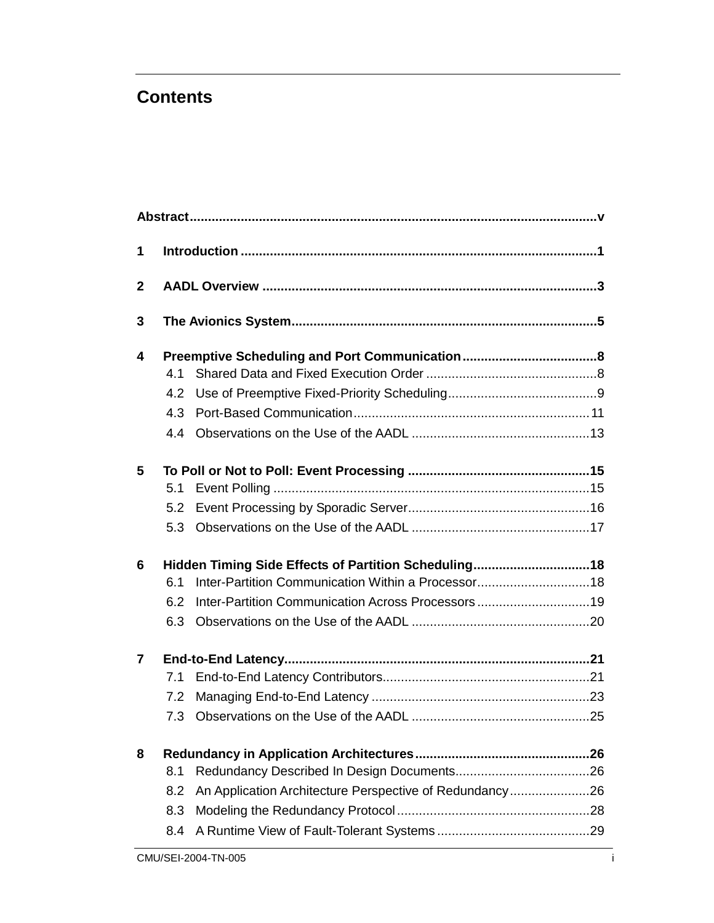# **Contents**

| 1              |     |                                                         |  |  |
|----------------|-----|---------------------------------------------------------|--|--|
| $\mathbf{2}$   |     |                                                         |  |  |
| 3              |     |                                                         |  |  |
| 4              |     |                                                         |  |  |
|                | 4.1 |                                                         |  |  |
|                | 4.2 |                                                         |  |  |
|                | 4.3 |                                                         |  |  |
|                |     |                                                         |  |  |
| 5              |     |                                                         |  |  |
|                | 5.1 |                                                         |  |  |
|                | 5.2 |                                                         |  |  |
|                |     |                                                         |  |  |
| 6              |     | Hidden Timing Side Effects of Partition Scheduling 18   |  |  |
|                | 6.1 |                                                         |  |  |
|                | 6.2 | Inter-Partition Communication Across Processors19       |  |  |
|                | 6.3 |                                                         |  |  |
| $\overline{7}$ |     |                                                         |  |  |
|                | 7.1 |                                                         |  |  |
|                | 7.2 |                                                         |  |  |
|                | 7.3 |                                                         |  |  |
| 8              |     |                                                         |  |  |
|                | 8.1 |                                                         |  |  |
|                | 8.2 | An Application Architecture Perspective of Redundancy26 |  |  |
|                | 8.3 |                                                         |  |  |
|                | 8.4 |                                                         |  |  |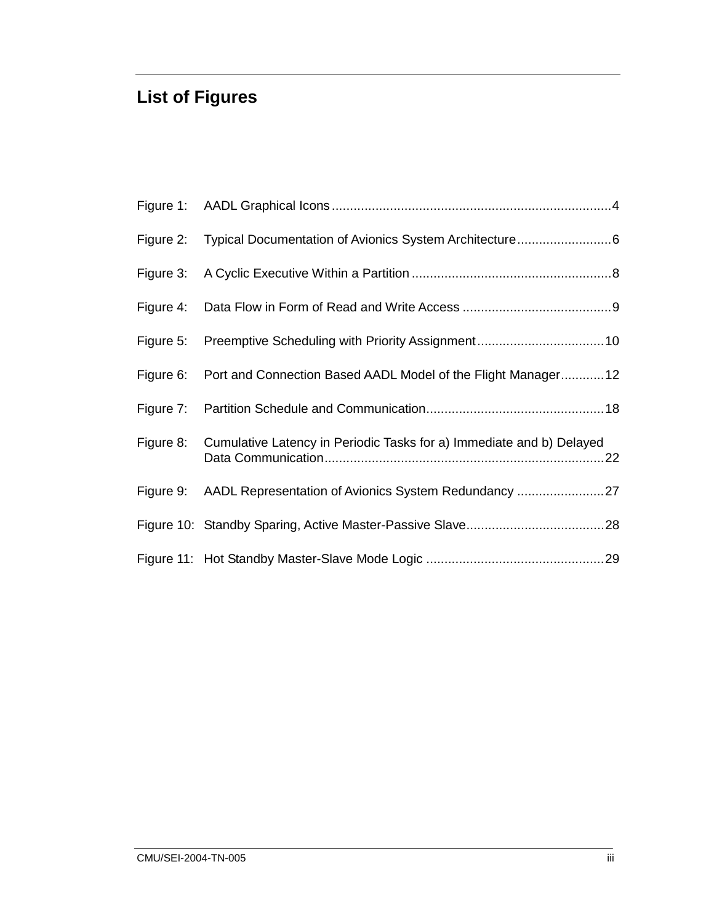# **List of Figures**

| Figure 3: |                                                                        |
|-----------|------------------------------------------------------------------------|
| Figure 4: |                                                                        |
| Figure 5: |                                                                        |
|           | Figure 6: Port and Connection Based AADL Model of the Flight Manager12 |
|           |                                                                        |
| Figure 8: | Cumulative Latency in Periodic Tasks for a) Immediate and b) Delayed   |
|           |                                                                        |
|           |                                                                        |
|           |                                                                        |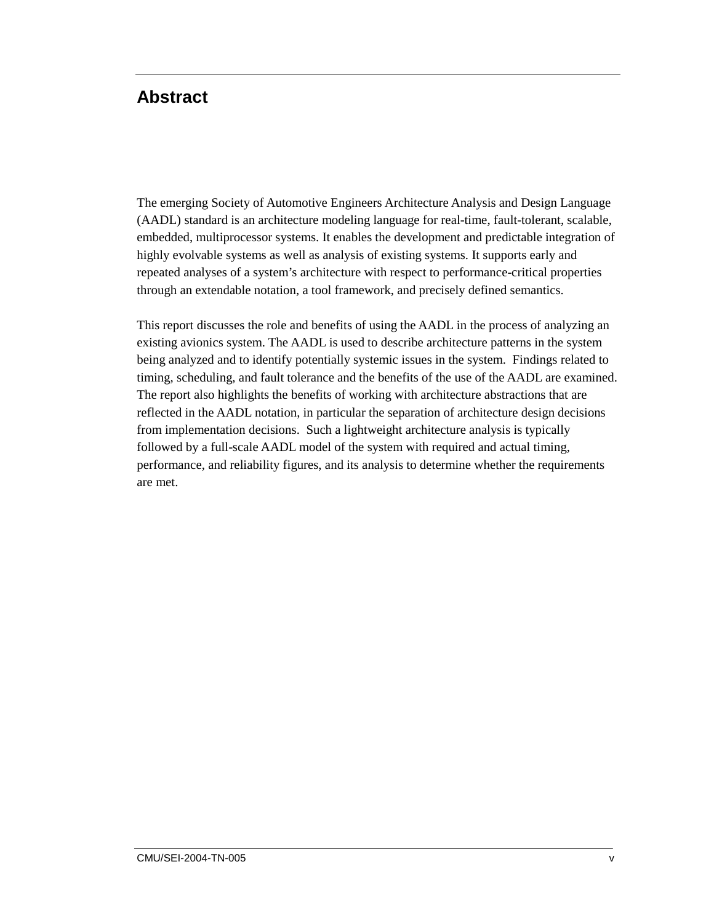# **Abstract**

The emerging Society of Automotive Engineers Architecture Analysis and Design Language (AADL) standard is an architecture modeling language for real-time, fault-tolerant, scalable, embedded, multiprocessor systems. It enables the development and predictable integration of highly evolvable systems as well as analysis of existing systems. It supports early and repeated analyses of a system's architecture with respect to performance-critical properties through an extendable notation, a tool framework, and precisely defined semantics.

This report discusses the role and benefits of using the AADL in the process of analyzing an existing avionics system. The AADL is used to describe architecture patterns in the system being analyzed and to identify potentially systemic issues in the system. Findings related to timing, scheduling, and fault tolerance and the benefits of the use of the AADL are examined. The report also highlights the benefits of working with architecture abstractions that are reflected in the AADL notation, in particular the separation of architecture design decisions from implementation decisions. Such a lightweight architecture analysis is typically followed by a full-scale AADL model of the system with required and actual timing, performance, and reliability figures, and its analysis to determine whether the requirements are met.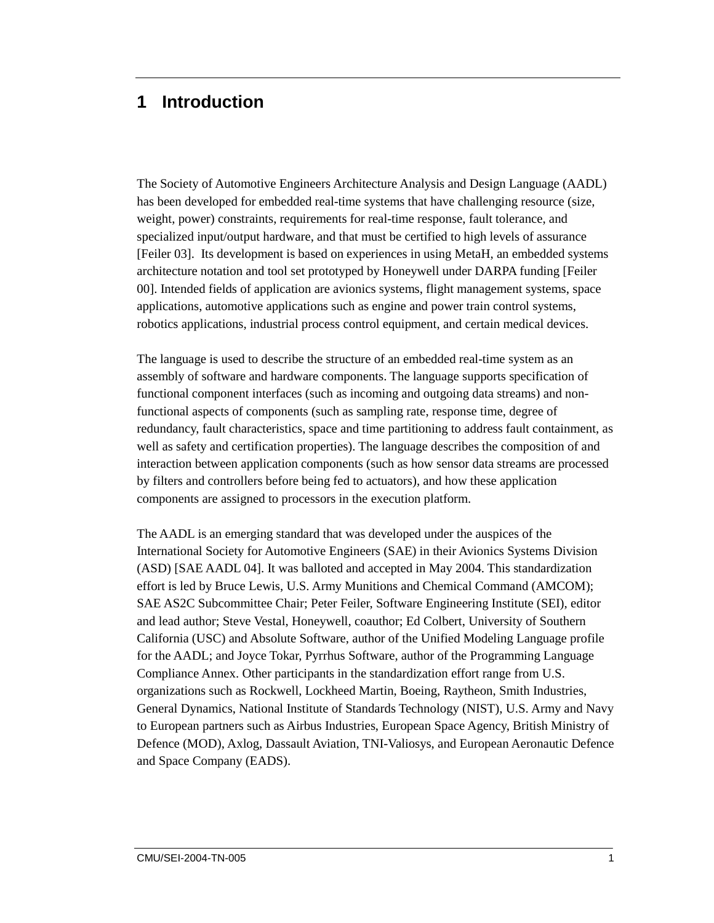# **1 Introduction**

The Society of Automotive Engineers Architecture Analysis and Design Language (AADL) has been developed for embedded real-time systems that have challenging resource (size, weight, power) constraints, requirements for real-time response, fault tolerance, and specialized input/output hardware, and that must be certified to high levels of assurance [Feiler 03]. Its development is based on experiences in using MetaH, an embedded systems architecture notation and tool set prototyped by Honeywell under DARPA funding [Feiler 00]. Intended fields of application are avionics systems, flight management systems, space applications, automotive applications such as engine and power train control systems, robotics applications, industrial process control equipment, and certain medical devices.

The language is used to describe the structure of an embedded real-time system as an assembly of software and hardware components. The language supports specification of functional component interfaces (such as incoming and outgoing data streams) and nonfunctional aspects of components (such as sampling rate, response time, degree of redundancy, fault characteristics, space and time partitioning to address fault containment, as well as safety and certification properties). The language describes the composition of and interaction between application components (such as how sensor data streams are processed by filters and controllers before being fed to actuators), and how these application components are assigned to processors in the execution platform.

The AADL is an emerging standard that was developed under the auspices of the International Society for Automotive Engineers (SAE) in their Avionics Systems Division (ASD) [SAE AADL 04]. It was balloted and accepted in May 2004. This standardization effort is led by Bruce Lewis, U.S. Army Munitions and Chemical Command (AMCOM); SAE AS2C Subcommittee Chair; Peter Feiler, Software Engineering Institute (SEI), editor and lead author; Steve Vestal, Honeywell, coauthor; Ed Colbert, University of Southern California (USC) and Absolute Software, author of the Unified Modeling Language profile for the AADL; and Joyce Tokar, Pyrrhus Software, author of the Programming Language Compliance Annex. Other participants in the standardization effort range from U.S. organizations such as Rockwell, Lockheed Martin, Boeing, Raytheon, Smith Industries, General Dynamics, National Institute of Standards Technology (NIST), U.S. Army and Navy to European partners such as Airbus Industries, European Space Agency, British Ministry of Defence (MOD), Axlog, Dassault Aviation, TNI-Valiosys, and European Aeronautic Defence and Space Company (EADS).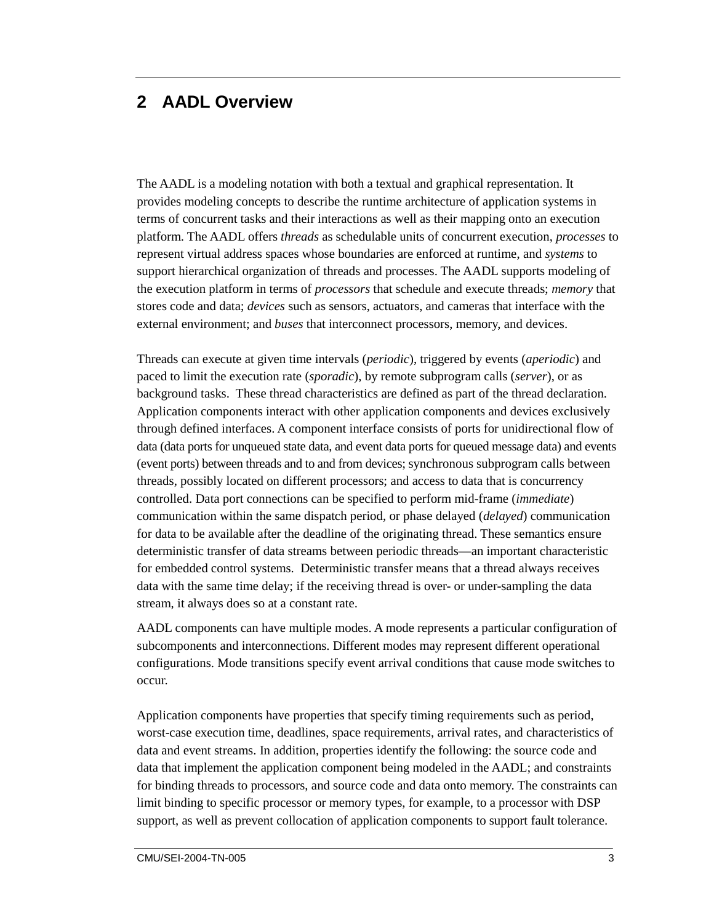### **2 AADL Overview**

The AADL is a modeling notation with both a textual and graphical representation. It provides modeling concepts to describe the runtime architecture of application systems in terms of concurrent tasks and their interactions as well as their mapping onto an execution platform. The AADL offers *threads* as schedulable units of concurrent execution, *processes* to represent virtual address spaces whose boundaries are enforced at runtime, and *systems* to support hierarchical organization of threads and processes. The AADL supports modeling of the execution platform in terms of *processors* that schedule and execute threads; *memory* that stores code and data; *devices* such as sensors, actuators, and cameras that interface with the external environment; and *buses* that interconnect processors, memory, and devices.

Threads can execute at given time intervals (*periodic*), triggered by events (*aperiodic*) and paced to limit the execution rate (*sporadic*), by remote subprogram calls (*server*), or as background tasks. These thread characteristics are defined as part of the thread declaration. Application components interact with other application components and devices exclusively through defined interfaces. A component interface consists of ports for unidirectional flow of data (data ports for unqueued state data, and event data ports for queued message data) and events (event ports) between threads and to and from devices; synchronous subprogram calls between threads, possibly located on different processors; and access to data that is concurrency controlled. Data port connections can be specified to perform mid-frame (*immediate*) communication within the same dispatch period, or phase delayed (*delayed*) communication for data to be available after the deadline of the originating thread. These semantics ensure deterministic transfer of data streams between periodic threads—an important characteristic for embedded control systems. Deterministic transfer means that a thread always receives data with the same time delay; if the receiving thread is over- or under-sampling the data stream, it always does so at a constant rate.

AADL components can have multiple modes. A mode represents a particular configuration of subcomponents and interconnections. Different modes may represent different operational configurations. Mode transitions specify event arrival conditions that cause mode switches to occur.

Application components have properties that specify timing requirements such as period, worst-case execution time, deadlines, space requirements, arrival rates, and characteristics of data and event streams. In addition, properties identify the following: the source code and data that implement the application component being modeled in the AADL; and constraints for binding threads to processors, and source code and data onto memory. The constraints can limit binding to specific processor or memory types, for example, to a processor with DSP support, as well as prevent collocation of application components to support fault tolerance.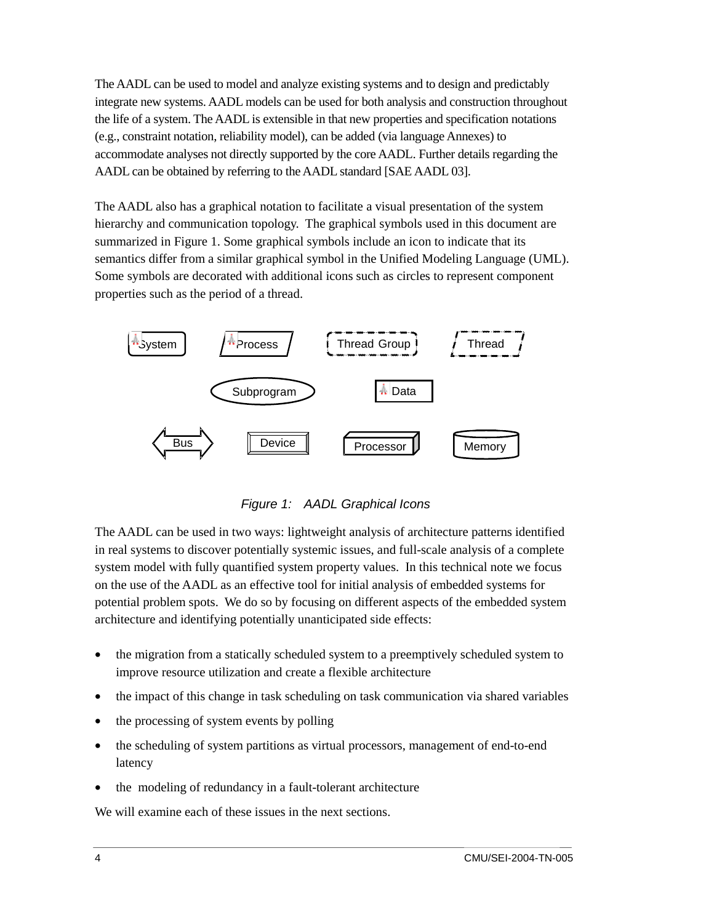The AADL can be used to model and analyze existing systems and to design and predictably integrate new systems. AADL models can be used for both analysis and construction throughout the life of a system. The AADL is extensible in that new properties and specification notations (e.g., constraint notation, reliability model), can be added (via language Annexes) to accommodate analyses not directly supported by the core AADL. Further details regarding the AADL can be obtained by referring to the AADL standard [SAE AADL 03].

The AADL also has a graphical notation to facilitate a visual presentation of the system hierarchy and communication topology. The graphical symbols used in this document are summarized in Figure 1. Some graphical symbols include an icon to indicate that its semantics differ from a similar graphical symbol in the Unified Modeling Language (UML). Some symbols are decorated with additional icons such as circles to represent component properties such as the period of a thread.



*Figure 1: AADL Graphical Icons* 

The AADL can be used in two ways: lightweight analysis of architecture patterns identified in real systems to discover potentially systemic issues, and full-scale analysis of a complete system model with fully quantified system property values. In this technical note we focus on the use of the AADL as an effective tool for initial analysis of embedded systems for potential problem spots. We do so by focusing on different aspects of the embedded system architecture and identifying potentially unanticipated side effects:

- the migration from a statically scheduled system to a preemptively scheduled system to improve resource utilization and create a flexible architecture
- the impact of this change in task scheduling on task communication via shared variables
- the processing of system events by polling
- the scheduling of system partitions as virtual processors, management of end-to-end latency
- the modeling of redundancy in a fault-tolerant architecture

We will examine each of these issues in the next sections.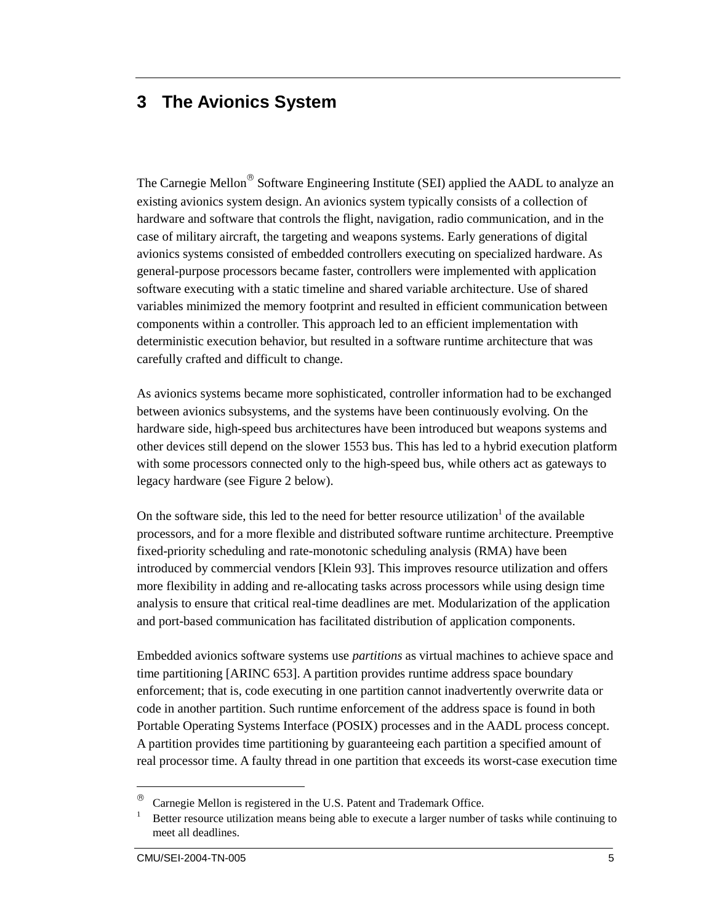## **3 The Avionics System**

The Carnegie Mellon<sup>®</sup> Software Engineering Institute (SEI) applied the AADL to analyze an existing avionics system design. An avionics system typically consists of a collection of hardware and software that controls the flight, navigation, radio communication, and in the case of military aircraft, the targeting and weapons systems. Early generations of digital avionics systems consisted of embedded controllers executing on specialized hardware. As general-purpose processors became faster, controllers were implemented with application software executing with a static timeline and shared variable architecture. Use of shared variables minimized the memory footprint and resulted in efficient communication between components within a controller. This approach led to an efficient implementation with deterministic execution behavior, but resulted in a software runtime architecture that was carefully crafted and difficult to change.

As avionics systems became more sophisticated, controller information had to be exchanged between avionics subsystems, and the systems have been continuously evolving. On the hardware side, high-speed bus architectures have been introduced but weapons systems and other devices still depend on the slower 1553 bus. This has led to a hybrid execution platform with some processors connected only to the high-speed bus, while others act as gateways to legacy hardware (see Figure 2 below).

On the software side, this led to the need for better resource utilization<sup>1</sup> of the available processors, and for a more flexible and distributed software runtime architecture. Preemptive fixed-priority scheduling and rate-monotonic scheduling analysis (RMA) have been introduced by commercial vendors [Klein 93]. This improves resource utilization and offers more flexibility in adding and re-allocating tasks across processors while using design time analysis to ensure that critical real-time deadlines are met. Modularization of the application and port-based communication has facilitated distribution of application components.

Embedded avionics software systems use *partitions* as virtual machines to achieve space and time partitioning [ARINC 653]. A partition provides runtime address space boundary enforcement; that is, code executing in one partition cannot inadvertently overwrite data or code in another partition. Such runtime enforcement of the address space is found in both Portable Operating Systems Interface (POSIX) processes and in the AADL process concept. A partition provides time partitioning by guaranteeing each partition a specified amount of real processor time. A faulty thread in one partition that exceeds its worst-case execution time

 $\overline{a}$ 

Carnegie Mellon is registered in the U.S. Patent and Trademark Office.

<sup>1</sup> Better resource utilization means being able to execute a larger number of tasks while continuing to meet all deadlines.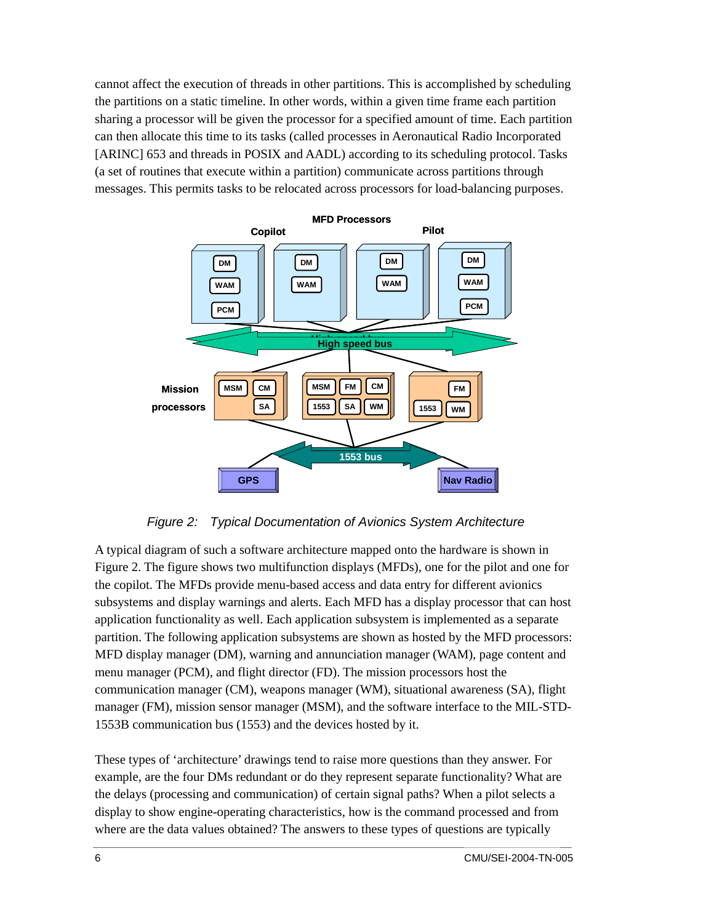cannot affect the execution of threads in other partitions. This is accomplished by scheduling the partitions on a static timeline. In other words, within a given time frame each partition sharing a processor will be given the processor for a specified amount of time. Each partition can then allocate this time to its tasks (called processes in Aeronautical Radio Incorporated [ARINC] 653 and threads in POSIX and AADL) according to its scheduling protocol. Tasks (a set of routines that execute within a partition) communicate across partitions through messages. This permits tasks to be relocated across processors for load-balancing purposes.



*Figure 2: Typical Documentation of Avionics System Architecture* 

A typical diagram of such a software architecture mapped onto the hardware is shown in Figure 2. The figure shows two multifunction displays (MFDs), one for the pilot and one for the copilot. The MFDs provide menu-based access and data entry for different avionics subsystems and display warnings and alerts. Each MFD has a display processor that can host application functionality as well. Each application subsystem is implemented as a separate partition. The following application subsystems are shown as hosted by the MFD processors: MFD display manager (DM), warning and annunciation manager (WAM), page content and menu manager (PCM), and flight director (FD). The mission processors host the communication manager (CM), weapons manager (WM), situational awareness (SA), flight manager (FM), mission sensor manager (MSM), and the software interface to the MIL-STD-1553B communication bus (1553) and the devices hosted by it.

These types of 'architecture' drawings tend to raise more questions than they answer. For example, are the four DMs redundant or do they represent separate functionality? What are the delays (processing and communication) of certain signal paths? When a pilot selects a display to show engine-operating characteristics, how is the command processed and from where are the data values obtained? The answers to these types of questions are typically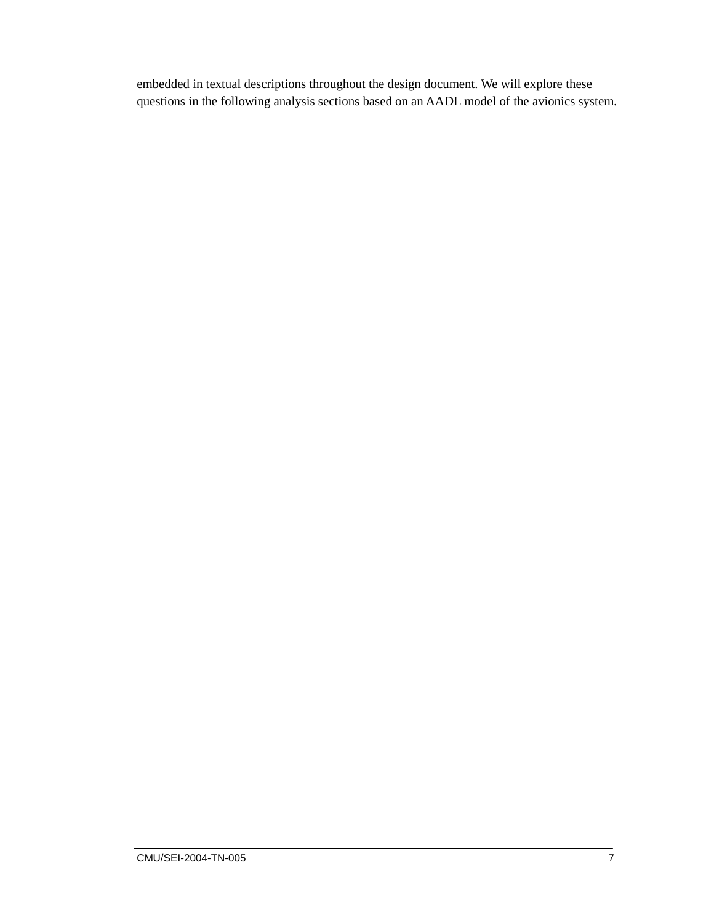embedded in textual descriptions throughout the design document. We will explore these questions in the following analysis sections based on an AADL model of the avionics system.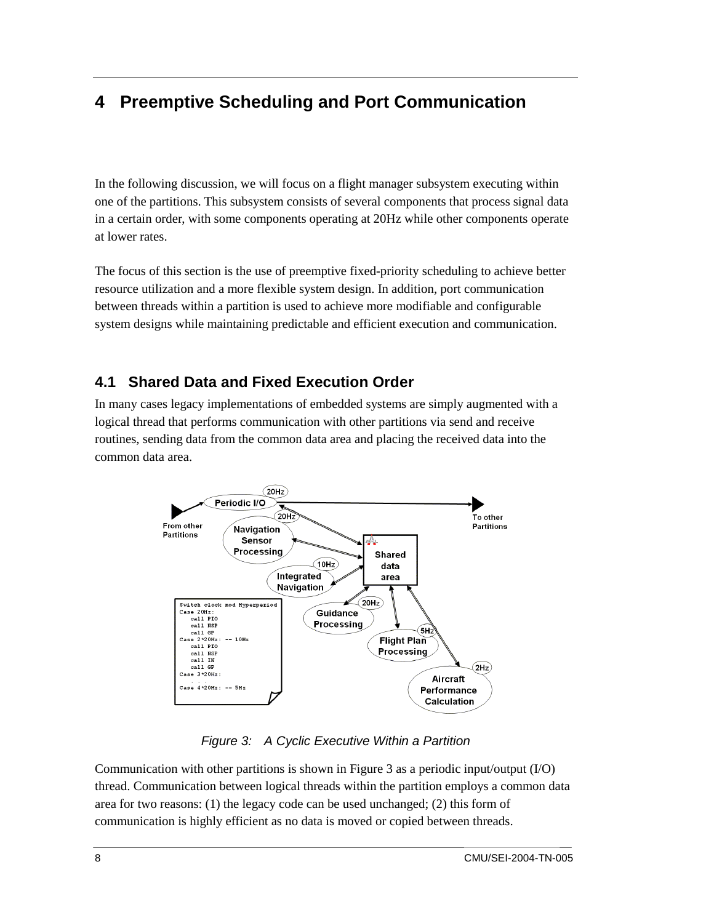# **4 Preemptive Scheduling and Port Communication**

In the following discussion, we will focus on a flight manager subsystem executing within one of the partitions. This subsystem consists of several components that process signal data in a certain order, with some components operating at 20Hz while other components operate at lower rates.

The focus of this section is the use of preemptive fixed-priority scheduling to achieve better resource utilization and a more flexible system design. In addition, port communication between threads within a partition is used to achieve more modifiable and configurable system designs while maintaining predictable and efficient execution and communication.

### **4.1 Shared Data and Fixed Execution Order**

In many cases legacy implementations of embedded systems are simply augmented with a logical thread that performs communication with other partitions via send and receive routines, sending data from the common data area and placing the received data into the common data area.



*Figure 3: A Cyclic Executive Within a Partition* 

Communication with other partitions is shown in Figure 3 as a periodic input/output (I/O) thread. Communication between logical threads within the partition employs a common data area for two reasons: (1) the legacy code can be used unchanged; (2) this form of communication is highly efficient as no data is moved or copied between threads.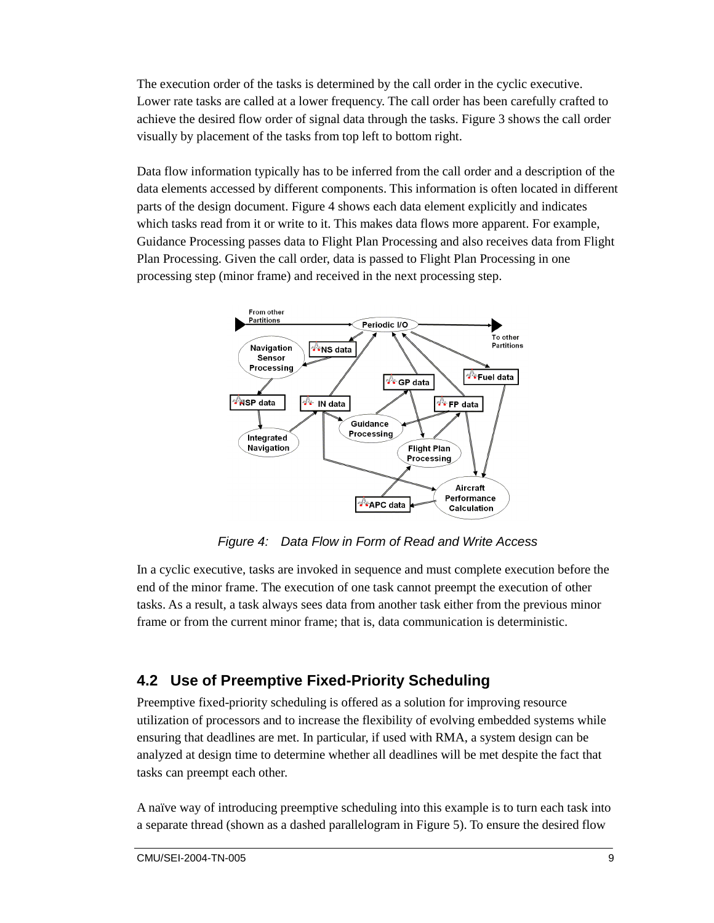The execution order of the tasks is determined by the call order in the cyclic executive. Lower rate tasks are called at a lower frequency. The call order has been carefully crafted to achieve the desired flow order of signal data through the tasks. Figure 3 shows the call order visually by placement of the tasks from top left to bottom right.

Data flow information typically has to be inferred from the call order and a description of the data elements accessed by different components. This information is often located in different parts of the design document. Figure 4 shows each data element explicitly and indicates which tasks read from it or write to it. This makes data flows more apparent. For example, Guidance Processing passes data to Flight Plan Processing and also receives data from Flight Plan Processing. Given the call order, data is passed to Flight Plan Processing in one processing step (minor frame) and received in the next processing step.



*Figure 4: Data Flow in Form of Read and Write Access* 

In a cyclic executive, tasks are invoked in sequence and must complete execution before the end of the minor frame. The execution of one task cannot preempt the execution of other tasks. As a result, a task always sees data from another task either from the previous minor frame or from the current minor frame; that is, data communication is deterministic.

### **4.2 Use of Preemptive Fixed-Priority Scheduling**

Preemptive fixed-priority scheduling is offered as a solution for improving resource utilization of processors and to increase the flexibility of evolving embedded systems while ensuring that deadlines are met. In particular, if used with RMA, a system design can be analyzed at design time to determine whether all deadlines will be met despite the fact that tasks can preempt each other.

A naïve way of introducing preemptive scheduling into this example is to turn each task into a separate thread (shown as a dashed parallelogram in Figure 5). To ensure the desired flow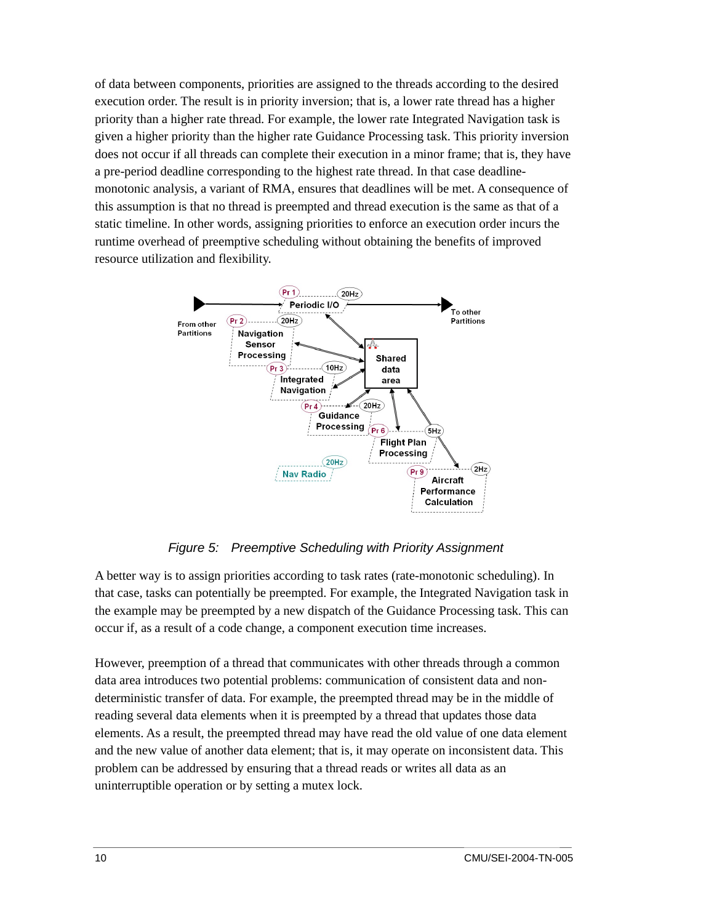of data between components, priorities are assigned to the threads according to the desired execution order. The result is in priority inversion; that is, a lower rate thread has a higher priority than a higher rate thread. For example, the lower rate Integrated Navigation task is given a higher priority than the higher rate Guidance Processing task. This priority inversion does not occur if all threads can complete their execution in a minor frame; that is, they have a pre-period deadline corresponding to the highest rate thread. In that case deadlinemonotonic analysis, a variant of RMA, ensures that deadlines will be met. A consequence of this assumption is that no thread is preempted and thread execution is the same as that of a static timeline. In other words, assigning priorities to enforce an execution order incurs the runtime overhead of preemptive scheduling without obtaining the benefits of improved resource utilization and flexibility.



#### *Figure 5: Preemptive Scheduling with Priority Assignment*

A better way is to assign priorities according to task rates (rate-monotonic scheduling). In that case, tasks can potentially be preempted. For example, the Integrated Navigation task in the example may be preempted by a new dispatch of the Guidance Processing task. This can occur if, as a result of a code change, a component execution time increases.

However, preemption of a thread that communicates with other threads through a common data area introduces two potential problems: communication of consistent data and nondeterministic transfer of data. For example, the preempted thread may be in the middle of reading several data elements when it is preempted by a thread that updates those data elements. As a result, the preempted thread may have read the old value of one data element and the new value of another data element; that is, it may operate on inconsistent data. This problem can be addressed by ensuring that a thread reads or writes all data as an uninterruptible operation or by setting a mutex lock.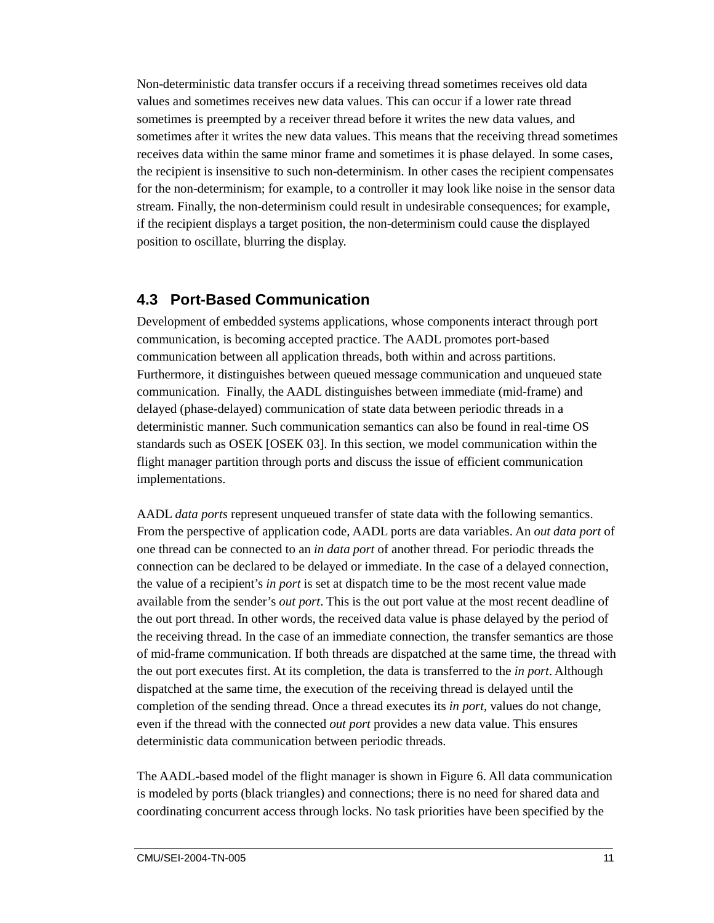Non-deterministic data transfer occurs if a receiving thread sometimes receives old data values and sometimes receives new data values. This can occur if a lower rate thread sometimes is preempted by a receiver thread before it writes the new data values, and sometimes after it writes the new data values. This means that the receiving thread sometimes receives data within the same minor frame and sometimes it is phase delayed. In some cases, the recipient is insensitive to such non-determinism. In other cases the recipient compensates for the non-determinism; for example, to a controller it may look like noise in the sensor data stream. Finally, the non-determinism could result in undesirable consequences; for example, if the recipient displays a target position, the non-determinism could cause the displayed position to oscillate, blurring the display.

#### **4.3 Port-Based Communication**

Development of embedded systems applications, whose components interact through port communication, is becoming accepted practice. The AADL promotes port-based communication between all application threads, both within and across partitions. Furthermore, it distinguishes between queued message communication and unqueued state communication. Finally, the AADL distinguishes between immediate (mid-frame) and delayed (phase-delayed) communication of state data between periodic threads in a deterministic manner. Such communication semantics can also be found in real-time OS standards such as OSEK [OSEK 03]. In this section, we model communication within the flight manager partition through ports and discuss the issue of efficient communication implementations.

AADL *data ports* represent unqueued transfer of state data with the following semantics. From the perspective of application code, AADL ports are data variables. An *out data port* of one thread can be connected to an *in data port* of another thread. For periodic threads the connection can be declared to be delayed or immediate. In the case of a delayed connection, the value of a recipient's *in port* is set at dispatch time to be the most recent value made available from the sender's *out port*. This is the out port value at the most recent deadline of the out port thread. In other words, the received data value is phase delayed by the period of the receiving thread. In the case of an immediate connection, the transfer semantics are those of mid-frame communication. If both threads are dispatched at the same time, the thread with the out port executes first. At its completion, the data is transferred to the *in port*. Although dispatched at the same time, the execution of the receiving thread is delayed until the completion of the sending thread. Once a thread executes its *in port,* values do not change, even if the thread with the connected *out port* provides a new data value. This ensures deterministic data communication between periodic threads.

The AADL-based model of the flight manager is shown in Figure 6. All data communication is modeled by ports (black triangles) and connections; there is no need for shared data and coordinating concurrent access through locks. No task priorities have been specified by the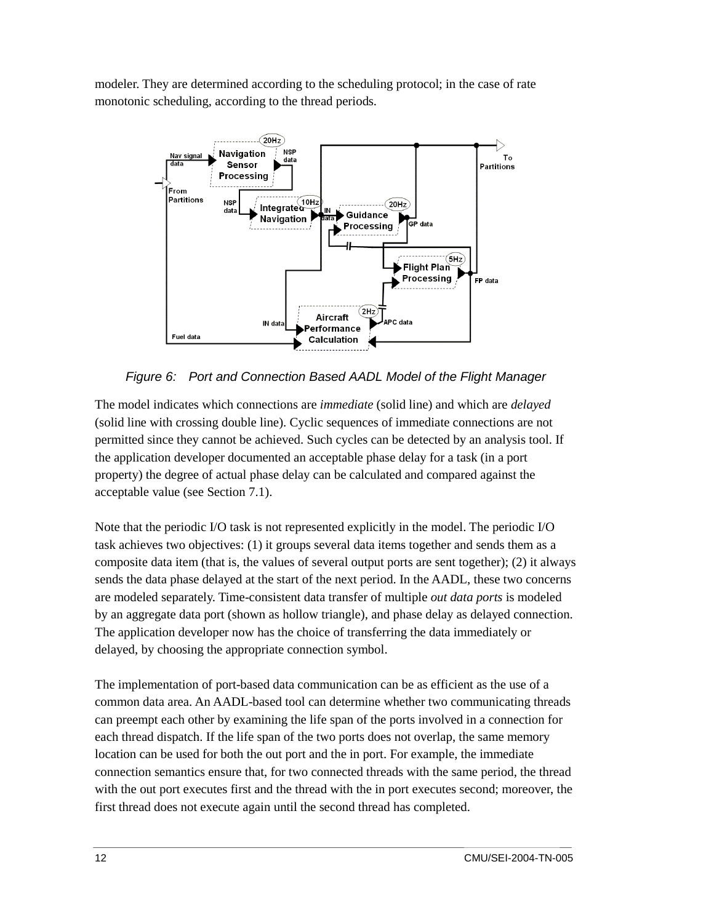modeler. They are determined according to the scheduling protocol; in the case of rate monotonic scheduling, according to the thread periods.



*Figure 6: Port and Connection Based AADL Model of the Flight Manager* 

The model indicates which connections are *immediate* (solid line) and which are *delayed* (solid line with crossing double line). Cyclic sequences of immediate connections are not permitted since they cannot be achieved. Such cycles can be detected by an analysis tool. If the application developer documented an acceptable phase delay for a task (in a port property) the degree of actual phase delay can be calculated and compared against the acceptable value (see Section 7.1).

Note that the periodic I/O task is not represented explicitly in the model. The periodic I/O task achieves two objectives: (1) it groups several data items together and sends them as a composite data item (that is, the values of several output ports are sent together); (2) it always sends the data phase delayed at the start of the next period. In the AADL, these two concerns are modeled separately. Time-consistent data transfer of multiple *out data ports* is modeled by an aggregate data port (shown as hollow triangle), and phase delay as delayed connection. The application developer now has the choice of transferring the data immediately or delayed, by choosing the appropriate connection symbol.

The implementation of port-based data communication can be as efficient as the use of a common data area. An AADL-based tool can determine whether two communicating threads can preempt each other by examining the life span of the ports involved in a connection for each thread dispatch. If the life span of the two ports does not overlap, the same memory location can be used for both the out port and the in port. For example, the immediate connection semantics ensure that, for two connected threads with the same period, the thread with the out port executes first and the thread with the in port executes second; moreover, the first thread does not execute again until the second thread has completed.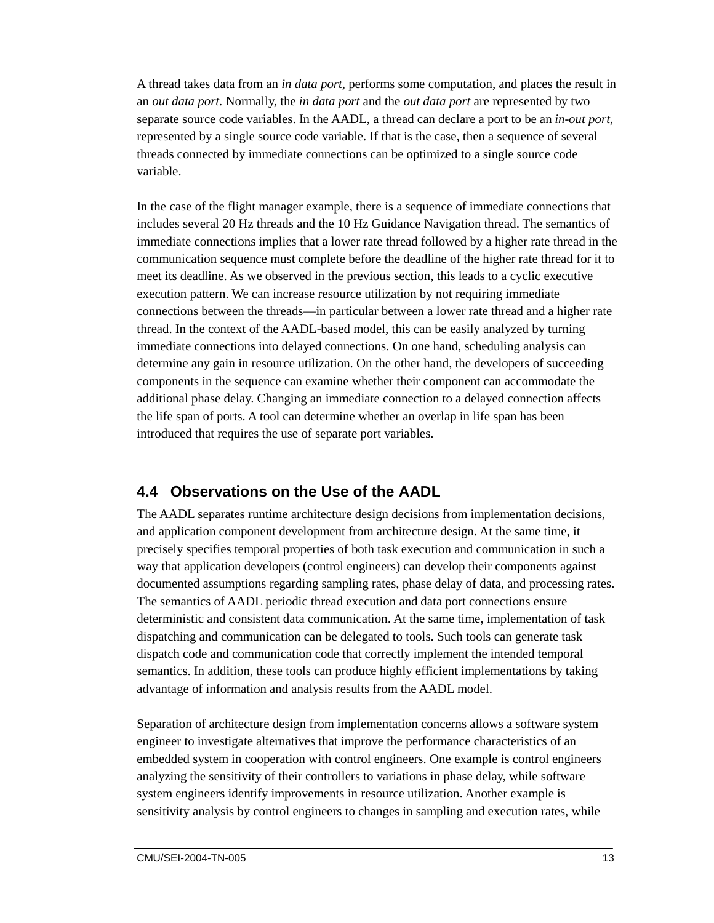A thread takes data from an *in data port*, performs some computation, and places the result in an *out data port*. Normally, the *in data port* and the *out data port* are represented by two separate source code variables. In the AADL, a thread can declare a port to be an *in*-*out port*, represented by a single source code variable. If that is the case, then a sequence of several threads connected by immediate connections can be optimized to a single source code variable.

In the case of the flight manager example, there is a sequence of immediate connections that includes several 20 Hz threads and the 10 Hz Guidance Navigation thread. The semantics of immediate connections implies that a lower rate thread followed by a higher rate thread in the communication sequence must complete before the deadline of the higher rate thread for it to meet its deadline. As we observed in the previous section, this leads to a cyclic executive execution pattern. We can increase resource utilization by not requiring immediate connections between the threads—in particular between a lower rate thread and a higher rate thread. In the context of the AADL-based model, this can be easily analyzed by turning immediate connections into delayed connections. On one hand, scheduling analysis can determine any gain in resource utilization. On the other hand, the developers of succeeding components in the sequence can examine whether their component can accommodate the additional phase delay. Changing an immediate connection to a delayed connection affects the life span of ports. A tool can determine whether an overlap in life span has been introduced that requires the use of separate port variables.

### **4.4 Observations on the Use of the AADL**

The AADL separates runtime architecture design decisions from implementation decisions, and application component development from architecture design. At the same time, it precisely specifies temporal properties of both task execution and communication in such a way that application developers (control engineers) can develop their components against documented assumptions regarding sampling rates, phase delay of data, and processing rates. The semantics of AADL periodic thread execution and data port connections ensure deterministic and consistent data communication. At the same time, implementation of task dispatching and communication can be delegated to tools. Such tools can generate task dispatch code and communication code that correctly implement the intended temporal semantics. In addition, these tools can produce highly efficient implementations by taking advantage of information and analysis results from the AADL model.

Separation of architecture design from implementation concerns allows a software system engineer to investigate alternatives that improve the performance characteristics of an embedded system in cooperation with control engineers. One example is control engineers analyzing the sensitivity of their controllers to variations in phase delay, while software system engineers identify improvements in resource utilization. Another example is sensitivity analysis by control engineers to changes in sampling and execution rates, while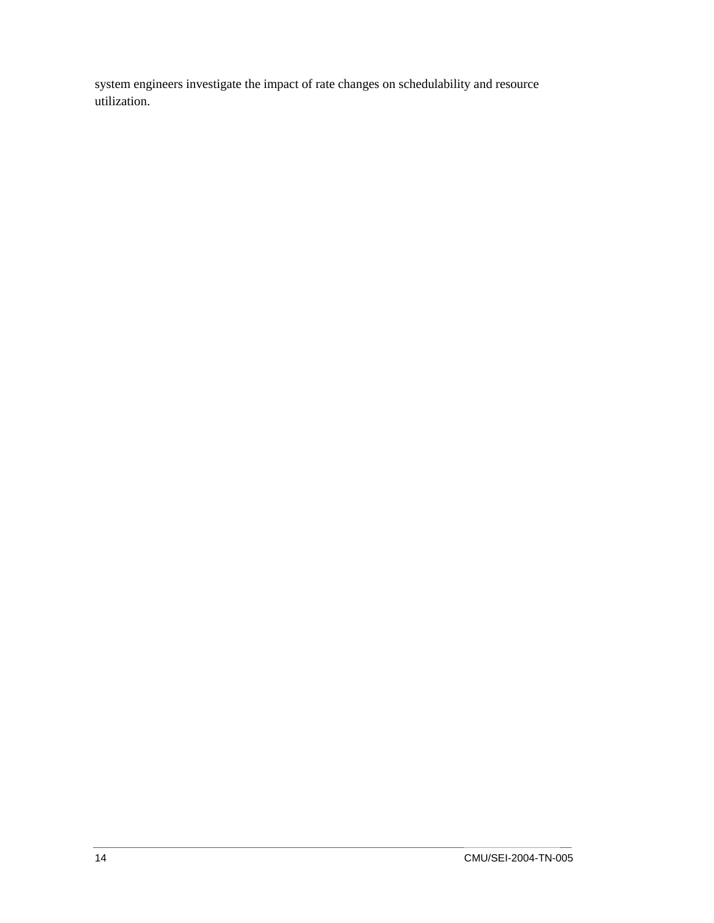system engineers investigate the impact of rate changes on schedulability and resource utilization.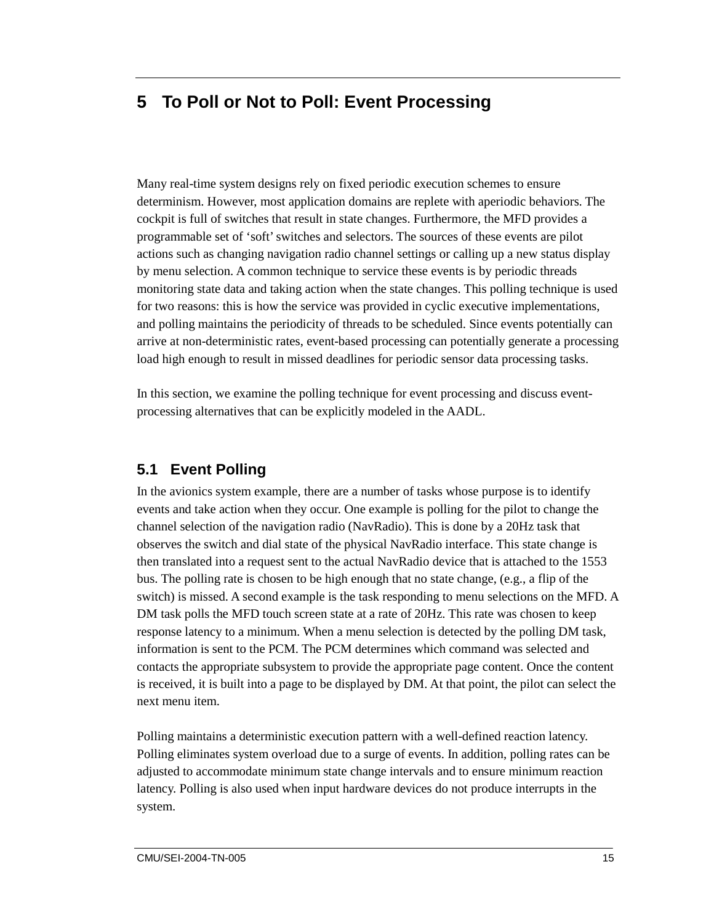# **5 To Poll or Not to Poll: Event Processing**

Many real-time system designs rely on fixed periodic execution schemes to ensure determinism. However, most application domains are replete with aperiodic behaviors. The cockpit is full of switches that result in state changes. Furthermore, the MFD provides a programmable set of 'soft' switches and selectors. The sources of these events are pilot actions such as changing navigation radio channel settings or calling up a new status display by menu selection. A common technique to service these events is by periodic threads monitoring state data and taking action when the state changes. This polling technique is used for two reasons: this is how the service was provided in cyclic executive implementations, and polling maintains the periodicity of threads to be scheduled. Since events potentially can arrive at non-deterministic rates, event-based processing can potentially generate a processing load high enough to result in missed deadlines for periodic sensor data processing tasks.

In this section, we examine the polling technique for event processing and discuss eventprocessing alternatives that can be explicitly modeled in the AADL.

### **5.1 Event Polling**

In the avionics system example, there are a number of tasks whose purpose is to identify events and take action when they occur. One example is polling for the pilot to change the channel selection of the navigation radio (NavRadio). This is done by a 20Hz task that observes the switch and dial state of the physical NavRadio interface. This state change is then translated into a request sent to the actual NavRadio device that is attached to the 1553 bus. The polling rate is chosen to be high enough that no state change, (e.g., a flip of the switch) is missed. A second example is the task responding to menu selections on the MFD. A DM task polls the MFD touch screen state at a rate of 20Hz. This rate was chosen to keep response latency to a minimum. When a menu selection is detected by the polling DM task, information is sent to the PCM. The PCM determines which command was selected and contacts the appropriate subsystem to provide the appropriate page content. Once the content is received, it is built into a page to be displayed by DM. At that point, the pilot can select the next menu item.

Polling maintains a deterministic execution pattern with a well-defined reaction latency. Polling eliminates system overload due to a surge of events. In addition, polling rates can be adjusted to accommodate minimum state change intervals and to ensure minimum reaction latency. Polling is also used when input hardware devices do not produce interrupts in the system.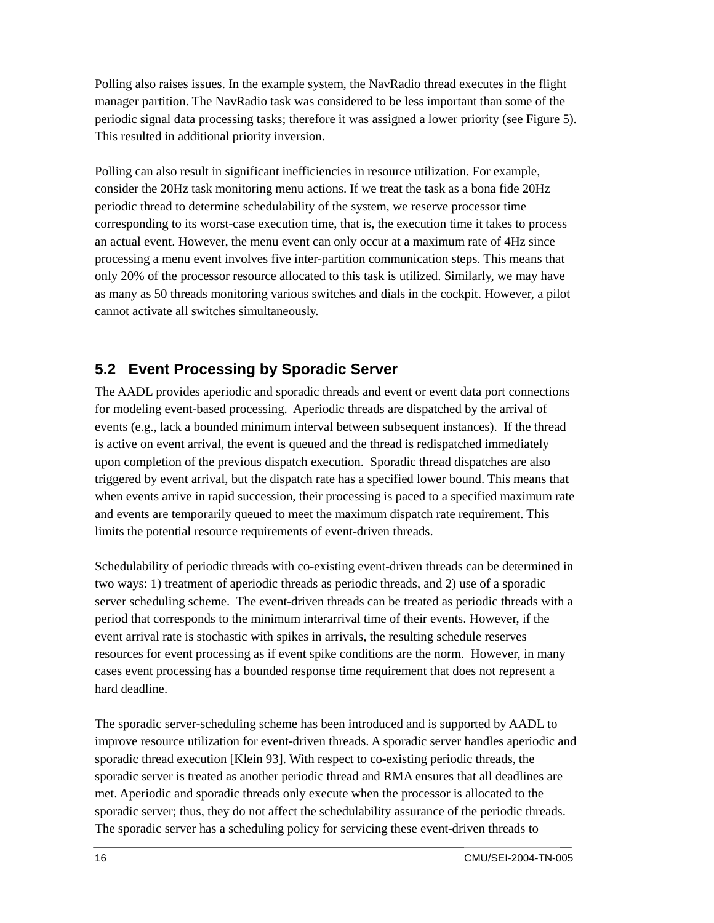Polling also raises issues. In the example system, the NavRadio thread executes in the flight manager partition. The NavRadio task was considered to be less important than some of the periodic signal data processing tasks; therefore it was assigned a lower priority (see Figure 5). This resulted in additional priority inversion.

Polling can also result in significant inefficiencies in resource utilization. For example, consider the 20Hz task monitoring menu actions. If we treat the task as a bona fide 20Hz periodic thread to determine schedulability of the system, we reserve processor time corresponding to its worst-case execution time, that is, the execution time it takes to process an actual event. However, the menu event can only occur at a maximum rate of 4Hz since processing a menu event involves five inter-partition communication steps. This means that only 20% of the processor resource allocated to this task is utilized. Similarly, we may have as many as 50 threads monitoring various switches and dials in the cockpit. However, a pilot cannot activate all switches simultaneously.

### **5.2 Event Processing by Sporadic Server**

The AADL provides aperiodic and sporadic threads and event or event data port connections for modeling event-based processing. Aperiodic threads are dispatched by the arrival of events (e.g., lack a bounded minimum interval between subsequent instances). If the thread is active on event arrival, the event is queued and the thread is redispatched immediately upon completion of the previous dispatch execution. Sporadic thread dispatches are also triggered by event arrival, but the dispatch rate has a specified lower bound. This means that when events arrive in rapid succession, their processing is paced to a specified maximum rate and events are temporarily queued to meet the maximum dispatch rate requirement. This limits the potential resource requirements of event-driven threads.

Schedulability of periodic threads with co-existing event-driven threads can be determined in two ways: 1) treatment of aperiodic threads as periodic threads, and 2) use of a sporadic server scheduling scheme. The event-driven threads can be treated as periodic threads with a period that corresponds to the minimum interarrival time of their events. However, if the event arrival rate is stochastic with spikes in arrivals, the resulting schedule reserves resources for event processing as if event spike conditions are the norm. However, in many cases event processing has a bounded response time requirement that does not represent a hard deadline.

The sporadic server-scheduling scheme has been introduced and is supported by AADL to improve resource utilization for event-driven threads. A sporadic server handles aperiodic and sporadic thread execution [Klein 93]. With respect to co-existing periodic threads, the sporadic server is treated as another periodic thread and RMA ensures that all deadlines are met. Aperiodic and sporadic threads only execute when the processor is allocated to the sporadic server; thus, they do not affect the schedulability assurance of the periodic threads. The sporadic server has a scheduling policy for servicing these event-driven threads to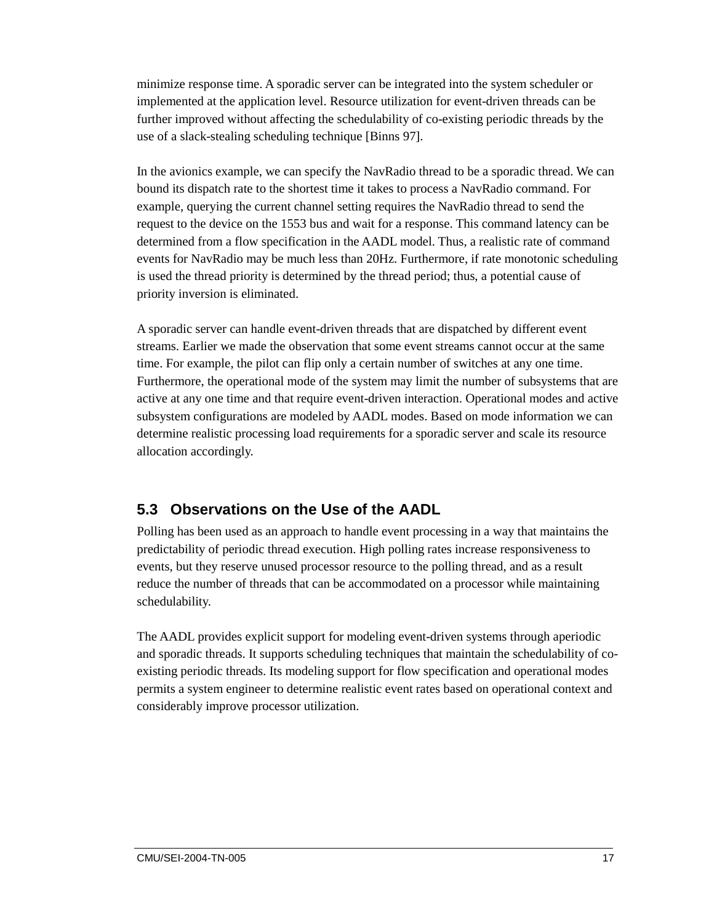minimize response time. A sporadic server can be integrated into the system scheduler or implemented at the application level. Resource utilization for event-driven threads can be further improved without affecting the schedulability of co-existing periodic threads by the use of a slack-stealing scheduling technique [Binns 97].

In the avionics example, we can specify the NavRadio thread to be a sporadic thread. We can bound its dispatch rate to the shortest time it takes to process a NavRadio command. For example, querying the current channel setting requires the NavRadio thread to send the request to the device on the 1553 bus and wait for a response. This command latency can be determined from a flow specification in the AADL model. Thus, a realistic rate of command events for NavRadio may be much less than 20Hz. Furthermore, if rate monotonic scheduling is used the thread priority is determined by the thread period; thus, a potential cause of priority inversion is eliminated.

A sporadic server can handle event-driven threads that are dispatched by different event streams. Earlier we made the observation that some event streams cannot occur at the same time. For example, the pilot can flip only a certain number of switches at any one time. Furthermore, the operational mode of the system may limit the number of subsystems that are active at any one time and that require event-driven interaction. Operational modes and active subsystem configurations are modeled by AADL modes. Based on mode information we can determine realistic processing load requirements for a sporadic server and scale its resource allocation accordingly.

### **5.3 Observations on the Use of the AADL**

Polling has been used as an approach to handle event processing in a way that maintains the predictability of periodic thread execution. High polling rates increase responsiveness to events, but they reserve unused processor resource to the polling thread, and as a result reduce the number of threads that can be accommodated on a processor while maintaining schedulability.

The AADL provides explicit support for modeling event-driven systems through aperiodic and sporadic threads. It supports scheduling techniques that maintain the schedulability of coexisting periodic threads. Its modeling support for flow specification and operational modes permits a system engineer to determine realistic event rates based on operational context and considerably improve processor utilization.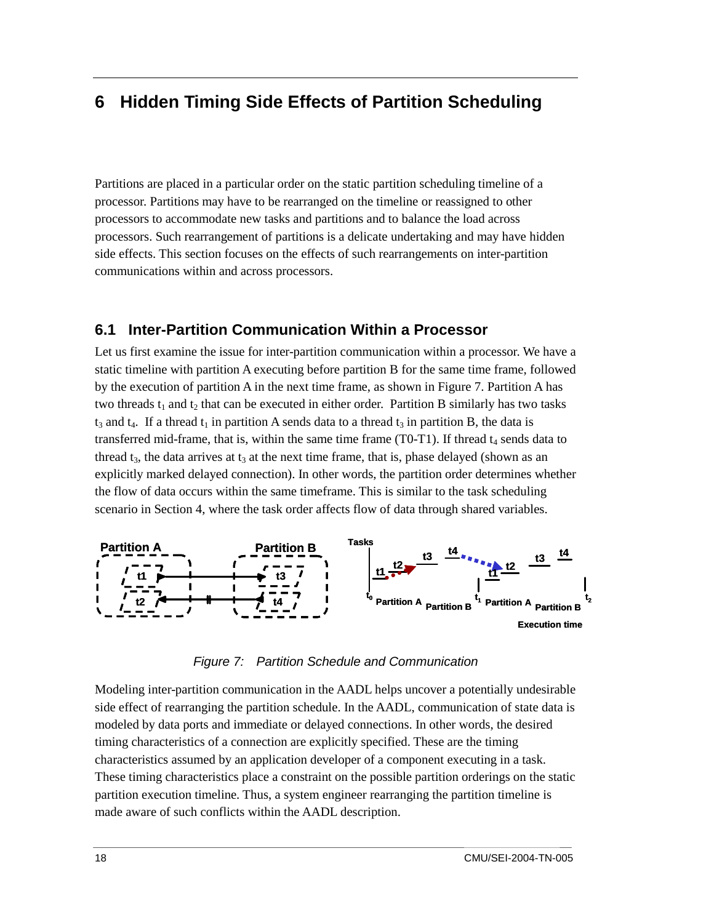# **6 Hidden Timing Side Effects of Partition Scheduling**

Partitions are placed in a particular order on the static partition scheduling timeline of a processor. Partitions may have to be rearranged on the timeline or reassigned to other processors to accommodate new tasks and partitions and to balance the load across processors. Such rearrangement of partitions is a delicate undertaking and may have hidden side effects. This section focuses on the effects of such rearrangements on inter-partition communications within and across processors.

#### **6.1 Inter-Partition Communication Within a Processor**

Let us first examine the issue for inter-partition communication within a processor. We have a static timeline with partition A executing before partition B for the same time frame, followed by the execution of partition A in the next time frame, as shown in Figure 7. Partition A has two threads  $t_1$  and  $t_2$  that can be executed in either order. Partition B similarly has two tasks  $t_3$  and  $t_4$ . If a thread  $t_1$  in partition A sends data to a thread  $t_3$  in partition B, the data is transferred mid-frame, that is, within the same time frame  $(T0-T1)$ . If thread  $t_4$  sends data to thread t<sub>3</sub>, the data arrives at t<sub>3</sub> at the next time frame, that is, phase delayed (shown as an explicitly marked delayed connection). In other words, the partition order determines whether the flow of data occurs within the same timeframe. This is similar to the task scheduling scenario in Section 4, where the task order affects flow of data through shared variables.



*Figure 7: Partition Schedule and Communication* 

Modeling inter-partition communication in the AADL helps uncover a potentially undesirable side effect of rearranging the partition schedule. In the AADL, communication of state data is modeled by data ports and immediate or delayed connections. In other words, the desired timing characteristics of a connection are explicitly specified. These are the timing characteristics assumed by an application developer of a component executing in a task. These timing characteristics place a constraint on the possible partition orderings on the static partition execution timeline. Thus, a system engineer rearranging the partition timeline is made aware of such conflicts within the AADL description.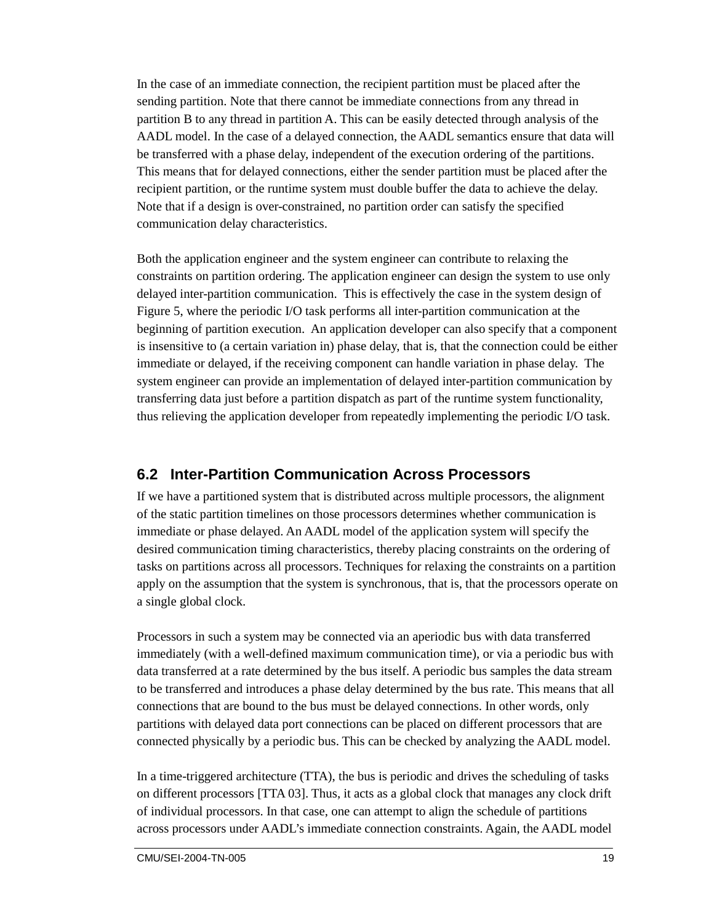In the case of an immediate connection, the recipient partition must be placed after the sending partition. Note that there cannot be immediate connections from any thread in partition B to any thread in partition A. This can be easily detected through analysis of the AADL model. In the case of a delayed connection, the AADL semantics ensure that data will be transferred with a phase delay, independent of the execution ordering of the partitions. This means that for delayed connections, either the sender partition must be placed after the recipient partition, or the runtime system must double buffer the data to achieve the delay. Note that if a design is over-constrained, no partition order can satisfy the specified communication delay characteristics.

Both the application engineer and the system engineer can contribute to relaxing the constraints on partition ordering. The application engineer can design the system to use only delayed inter-partition communication. This is effectively the case in the system design of Figure 5, where the periodic I/O task performs all inter-partition communication at the beginning of partition execution. An application developer can also specify that a component is insensitive to (a certain variation in) phase delay, that is, that the connection could be either immediate or delayed, if the receiving component can handle variation in phase delay. The system engineer can provide an implementation of delayed inter-partition communication by transferring data just before a partition dispatch as part of the runtime system functionality, thus relieving the application developer from repeatedly implementing the periodic I/O task.

#### **6.2 Inter-Partition Communication Across Processors**

If we have a partitioned system that is distributed across multiple processors, the alignment of the static partition timelines on those processors determines whether communication is immediate or phase delayed. An AADL model of the application system will specify the desired communication timing characteristics, thereby placing constraints on the ordering of tasks on partitions across all processors. Techniques for relaxing the constraints on a partition apply on the assumption that the system is synchronous, that is, that the processors operate on a single global clock.

Processors in such a system may be connected via an aperiodic bus with data transferred immediately (with a well-defined maximum communication time), or via a periodic bus with data transferred at a rate determined by the bus itself. A periodic bus samples the data stream to be transferred and introduces a phase delay determined by the bus rate. This means that all connections that are bound to the bus must be delayed connections. In other words, only partitions with delayed data port connections can be placed on different processors that are connected physically by a periodic bus. This can be checked by analyzing the AADL model.

In a time-triggered architecture (TTA), the bus is periodic and drives the scheduling of tasks on different processors [TTA 03]. Thus, it acts as a global clock that manages any clock drift of individual processors. In that case, one can attempt to align the schedule of partitions across processors under AADL's immediate connection constraints. Again, the AADL model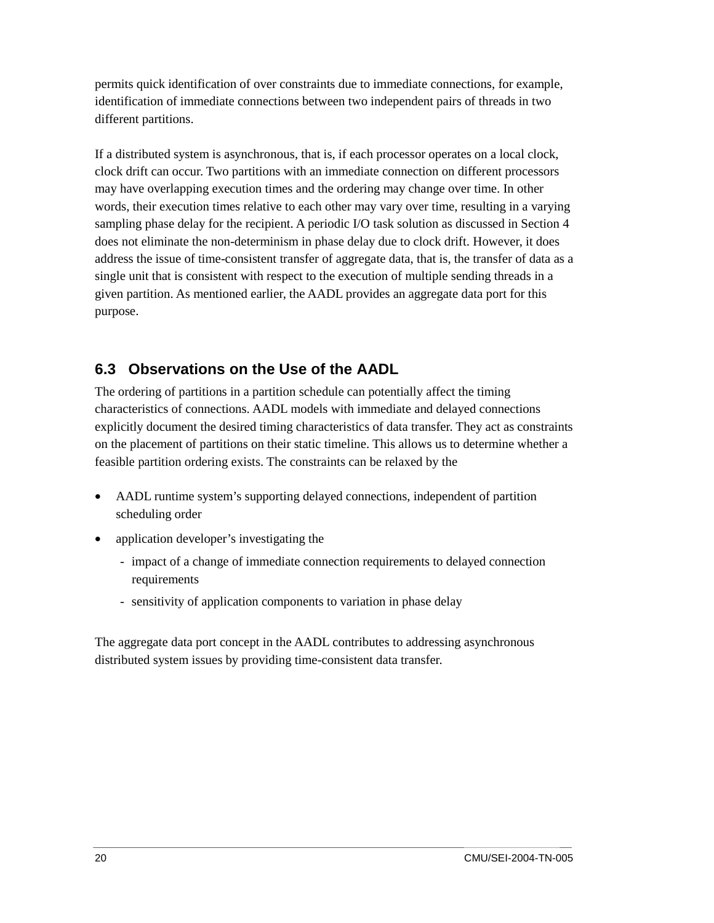permits quick identification of over constraints due to immediate connections, for example, identification of immediate connections between two independent pairs of threads in two different partitions.

If a distributed system is asynchronous, that is, if each processor operates on a local clock, clock drift can occur. Two partitions with an immediate connection on different processors may have overlapping execution times and the ordering may change over time. In other words, their execution times relative to each other may vary over time, resulting in a varying sampling phase delay for the recipient. A periodic I/O task solution as discussed in Section 4 does not eliminate the non-determinism in phase delay due to clock drift. However, it does address the issue of time-consistent transfer of aggregate data, that is, the transfer of data as a single unit that is consistent with respect to the execution of multiple sending threads in a given partition. As mentioned earlier, the AADL provides an aggregate data port for this purpose.

### **6.3 Observations on the Use of the AADL**

The ordering of partitions in a partition schedule can potentially affect the timing characteristics of connections. AADL models with immediate and delayed connections explicitly document the desired timing characteristics of data transfer. They act as constraints on the placement of partitions on their static timeline. This allows us to determine whether a feasible partition ordering exists. The constraints can be relaxed by the

- AADL runtime system's supporting delayed connections, independent of partition scheduling order
- application developer's investigating the
	- impact of a change of immediate connection requirements to delayed connection requirements
	- sensitivity of application components to variation in phase delay

The aggregate data port concept in the AADL contributes to addressing asynchronous distributed system issues by providing time-consistent data transfer.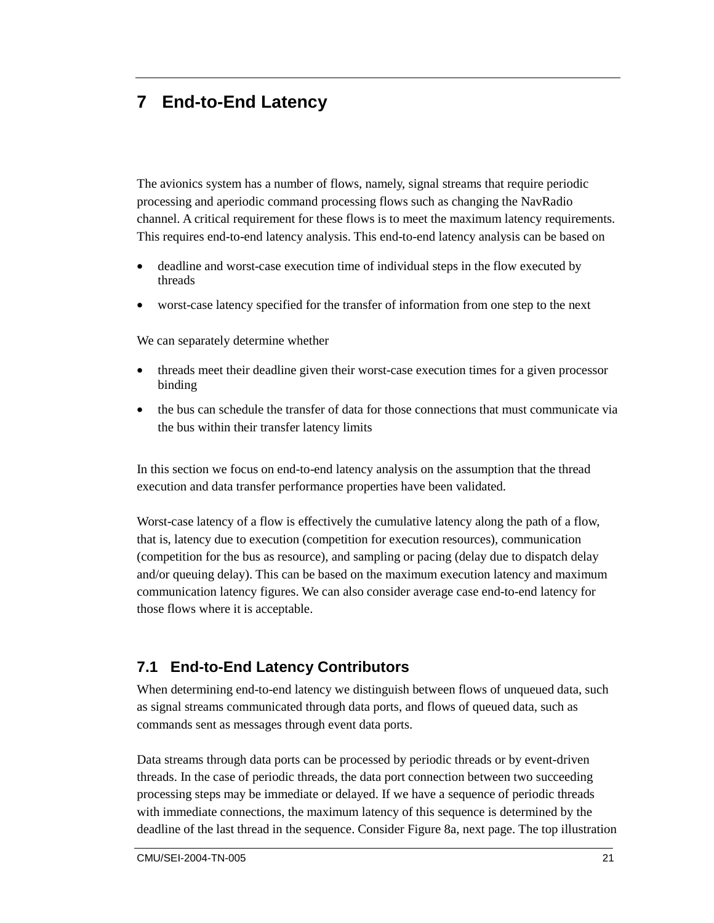# **7 End-to-End Latency**

The avionics system has a number of flows, namely, signal streams that require periodic processing and aperiodic command processing flows such as changing the NavRadio channel. A critical requirement for these flows is to meet the maximum latency requirements. This requires end-to-end latency analysis. This end-to-end latency analysis can be based on

- deadline and worst-case execution time of individual steps in the flow executed by threads
- worst-case latency specified for the transfer of information from one step to the next

We can separately determine whether

- threads meet their deadline given their worst-case execution times for a given processor binding
- the bus can schedule the transfer of data for those connections that must communicate via the bus within their transfer latency limits

In this section we focus on end-to-end latency analysis on the assumption that the thread execution and data transfer performance properties have been validated.

Worst-case latency of a flow is effectively the cumulative latency along the path of a flow, that is, latency due to execution (competition for execution resources), communication (competition for the bus as resource), and sampling or pacing (delay due to dispatch delay and/or queuing delay). This can be based on the maximum execution latency and maximum communication latency figures. We can also consider average case end-to-end latency for those flows where it is acceptable.

#### **7.1 End-to-End Latency Contributors**

When determining end-to-end latency we distinguish between flows of unqueued data, such as signal streams communicated through data ports, and flows of queued data, such as commands sent as messages through event data ports.

Data streams through data ports can be processed by periodic threads or by event-driven threads. In the case of periodic threads, the data port connection between two succeeding processing steps may be immediate or delayed. If we have a sequence of periodic threads with immediate connections, the maximum latency of this sequence is determined by the deadline of the last thread in the sequence. Consider Figure 8a, next page. The top illustration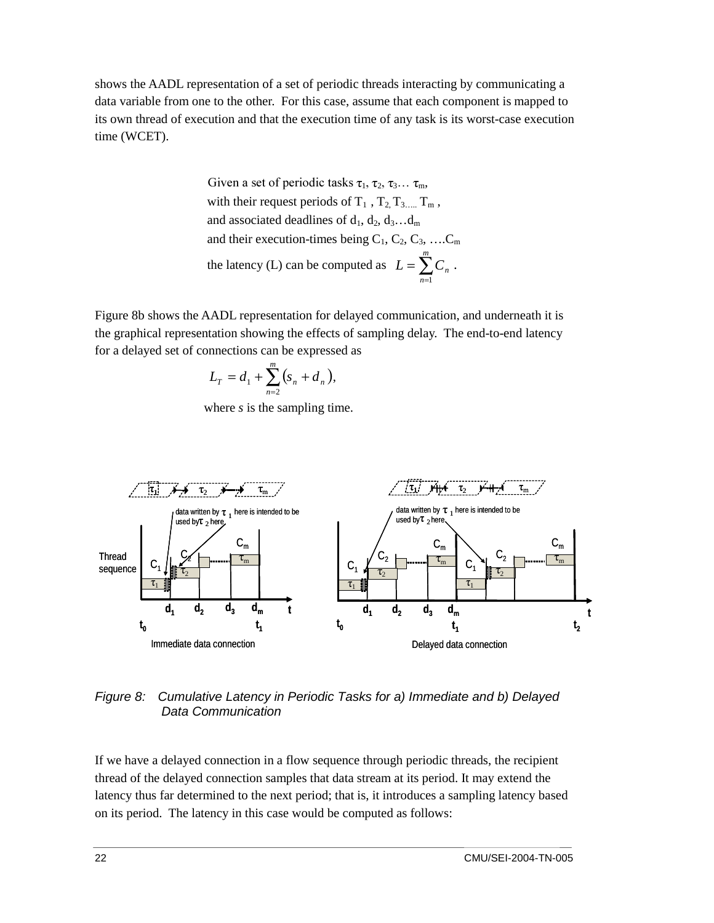shows the AADL representation of a set of periodic threads interacting by communicating a data variable from one to the other. For this case, assume that each component is mapped to its own thread of execution and that the execution time of any task is its worst-case execution time (WCET).

**G** iven a set of periodic tasks  $\tau_1$ ,  $\tau_2$ ,  $\tau_3$ ...  $\tau_m$ , with their request periods of  $T_1$ ,  $T_2$ ,  $T_3$ <sub>…</sub>,  $T_m$ , and associated deadlines of  $d_1$ ,  $d_2$ ,  $d_3$ ... $d_m$ and their execution-times being  $C_1, C_2, C_3, \ldots, C_m$ the latency (L) can be computed as  $L = \sum_{n=1}^{\infty}$ *m n*  $L = \sum C_n$ 1 .

Figure 8b shows the AADL representation for delayed communication, and underneath it is the graphical representation showing the effects of sampling delay. The end-to-end latency for a delayed set of connections can be expressed as

$$
L_{T} = d_{1} + \sum_{n=2}^{m} (s_{n} + d_{n}),
$$

where *s* is the sampling time.



*Figure 8: Cumulative Latency in Periodic Tasks for a) Immediate and b) Delayed Data Communication* 

If we have a delayed connection in a flow sequence through periodic threads, the recipient thread of the delayed connection samples that data stream at its period. It may extend the latency thus far determined to the next period; that is, it introduces a sampling latency based on its period. The latency in this case would be computed as follows: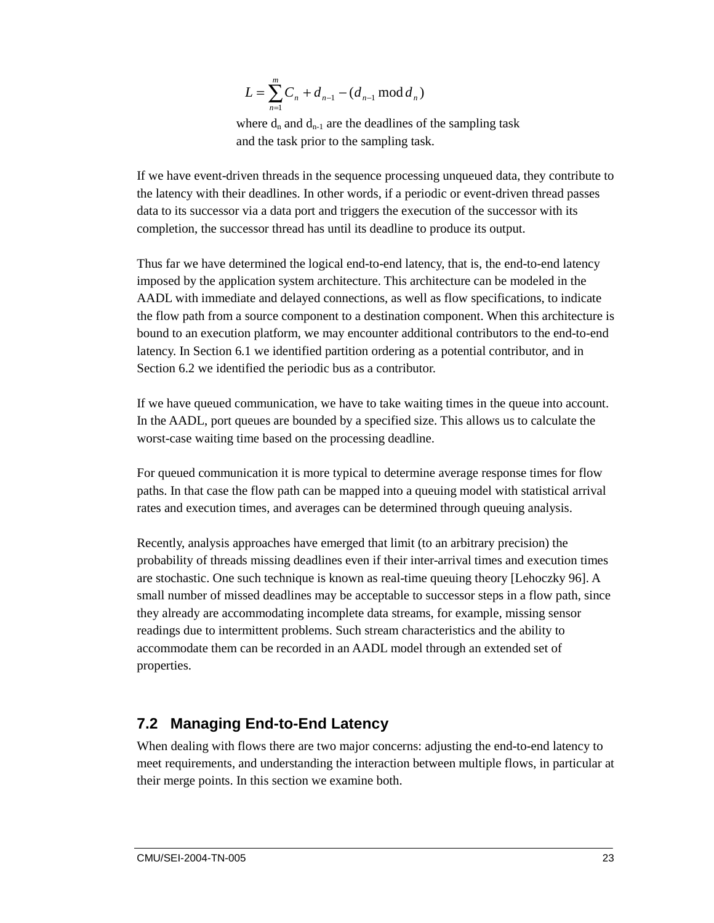$$
L = \sum_{n=1}^{m} C_n + d_{n-1} - (d_{n-1} \mod d_n)
$$

where  $d_n$  and  $d_{n-1}$  are the deadlines of the sampling task and the task prior to the sampling task.

If we have event-driven threads in the sequence processing unqueued data, they contribute to the latency with their deadlines. In other words, if a periodic or event-driven thread passes data to its successor via a data port and triggers the execution of the successor with its completion, the successor thread has until its deadline to produce its output.

Thus far we have determined the logical end-to-end latency, that is, the end-to-end latency imposed by the application system architecture. This architecture can be modeled in the AADL with immediate and delayed connections, as well as flow specifications, to indicate the flow path from a source component to a destination component. When this architecture is bound to an execution platform, we may encounter additional contributors to the end-to-end latency. In Section 6.1 we identified partition ordering as a potential contributor, and in Section 6.2 we identified the periodic bus as a contributor.

If we have queued communication, we have to take waiting times in the queue into account. In the AADL, port queues are bounded by a specified size. This allows us to calculate the worst-case waiting time based on the processing deadline.

For queued communication it is more typical to determine average response times for flow paths. In that case the flow path can be mapped into a queuing model with statistical arrival rates and execution times, and averages can be determined through queuing analysis.

Recently, analysis approaches have emerged that limit (to an arbitrary precision) the probability of threads missing deadlines even if their inter-arrival times and execution times are stochastic. One such technique is known as real-time queuing theory [Lehoczky 96]. A small number of missed deadlines may be acceptable to successor steps in a flow path, since they already are accommodating incomplete data streams, for example, missing sensor readings due to intermittent problems. Such stream characteristics and the ability to accommodate them can be recorded in an AADL model through an extended set of properties.

#### **7.2 Managing End-to-End Latency**

When dealing with flows there are two major concerns: adjusting the end-to-end latency to meet requirements, and understanding the interaction between multiple flows, in particular at their merge points. In this section we examine both.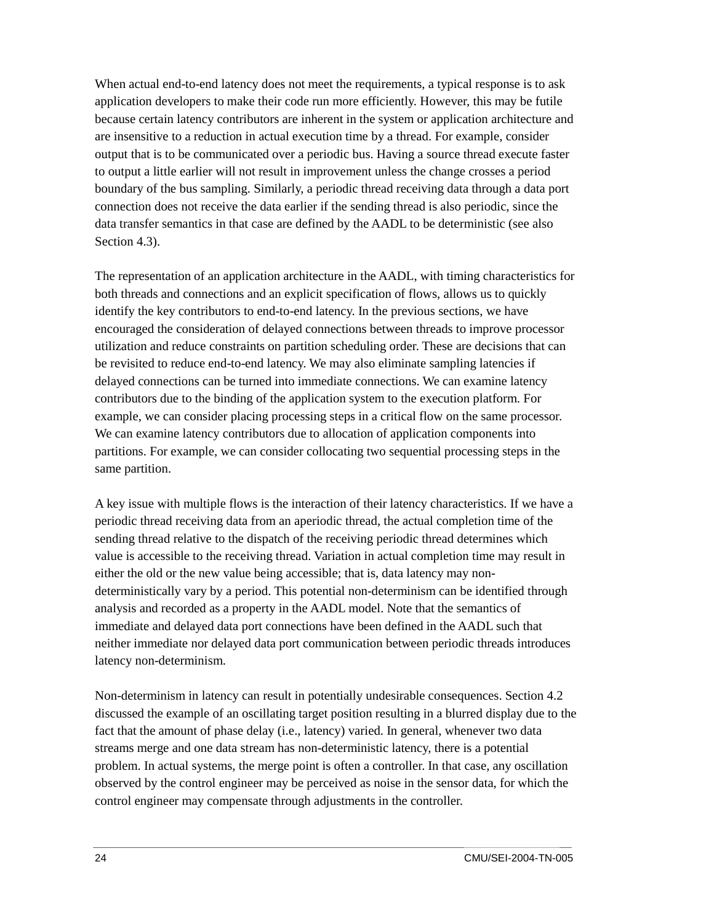When actual end-to-end latency does not meet the requirements, a typical response is to ask application developers to make their code run more efficiently. However, this may be futile because certain latency contributors are inherent in the system or application architecture and are insensitive to a reduction in actual execution time by a thread. For example, consider output that is to be communicated over a periodic bus. Having a source thread execute faster to output a little earlier will not result in improvement unless the change crosses a period boundary of the bus sampling. Similarly, a periodic thread receiving data through a data port connection does not receive the data earlier if the sending thread is also periodic, since the data transfer semantics in that case are defined by the AADL to be deterministic (see also Section 4.3).

The representation of an application architecture in the AADL, with timing characteristics for both threads and connections and an explicit specification of flows, allows us to quickly identify the key contributors to end-to-end latency. In the previous sections, we have encouraged the consideration of delayed connections between threads to improve processor utilization and reduce constraints on partition scheduling order. These are decisions that can be revisited to reduce end-to-end latency. We may also eliminate sampling latencies if delayed connections can be turned into immediate connections. We can examine latency contributors due to the binding of the application system to the execution platform. For example, we can consider placing processing steps in a critical flow on the same processor. We can examine latency contributors due to allocation of application components into partitions. For example, we can consider collocating two sequential processing steps in the same partition.

A key issue with multiple flows is the interaction of their latency characteristics. If we have a periodic thread receiving data from an aperiodic thread, the actual completion time of the sending thread relative to the dispatch of the receiving periodic thread determines which value is accessible to the receiving thread. Variation in actual completion time may result in either the old or the new value being accessible; that is, data latency may nondeterministically vary by a period. This potential non-determinism can be identified through analysis and recorded as a property in the AADL model. Note that the semantics of immediate and delayed data port connections have been defined in the AADL such that neither immediate nor delayed data port communication between periodic threads introduces latency non-determinism.

Non-determinism in latency can result in potentially undesirable consequences. Section 4.2 discussed the example of an oscillating target position resulting in a blurred display due to the fact that the amount of phase delay (i.e., latency) varied. In general, whenever two data streams merge and one data stream has non-deterministic latency, there is a potential problem. In actual systems, the merge point is often a controller. In that case, any oscillation observed by the control engineer may be perceived as noise in the sensor data, for which the control engineer may compensate through adjustments in the controller.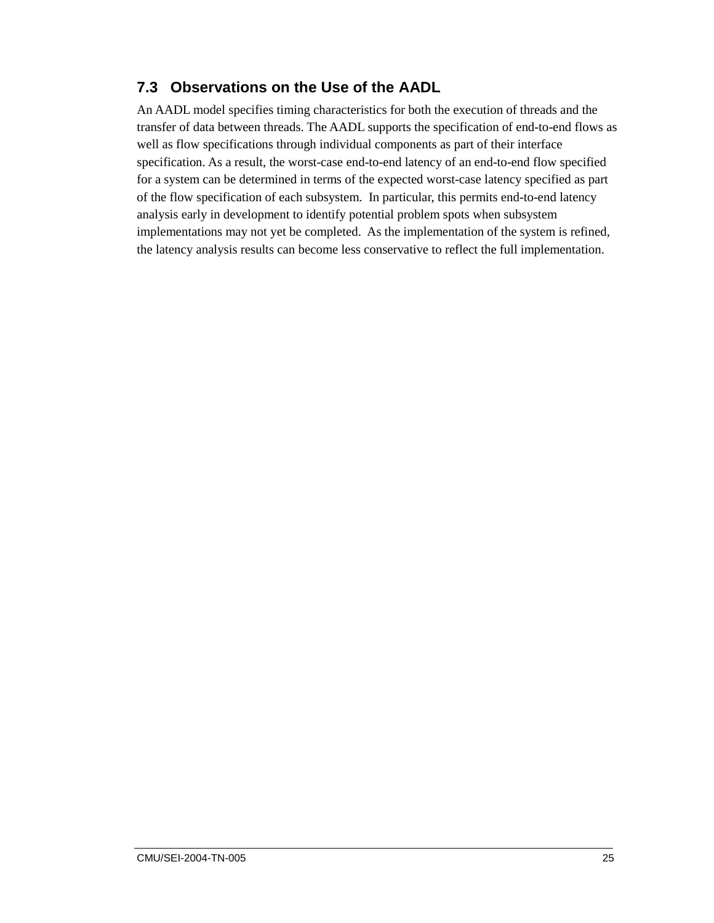### **7.3 Observations on the Use of the AADL**

An AADL model specifies timing characteristics for both the execution of threads and the transfer of data between threads. The AADL supports the specification of end-to-end flows as well as flow specifications through individual components as part of their interface specification. As a result, the worst-case end-to-end latency of an end-to-end flow specified for a system can be determined in terms of the expected worst-case latency specified as part of the flow specification of each subsystem. In particular, this permits end-to-end latency analysis early in development to identify potential problem spots when subsystem implementations may not yet be completed. As the implementation of the system is refined, the latency analysis results can become less conservative to reflect the full implementation.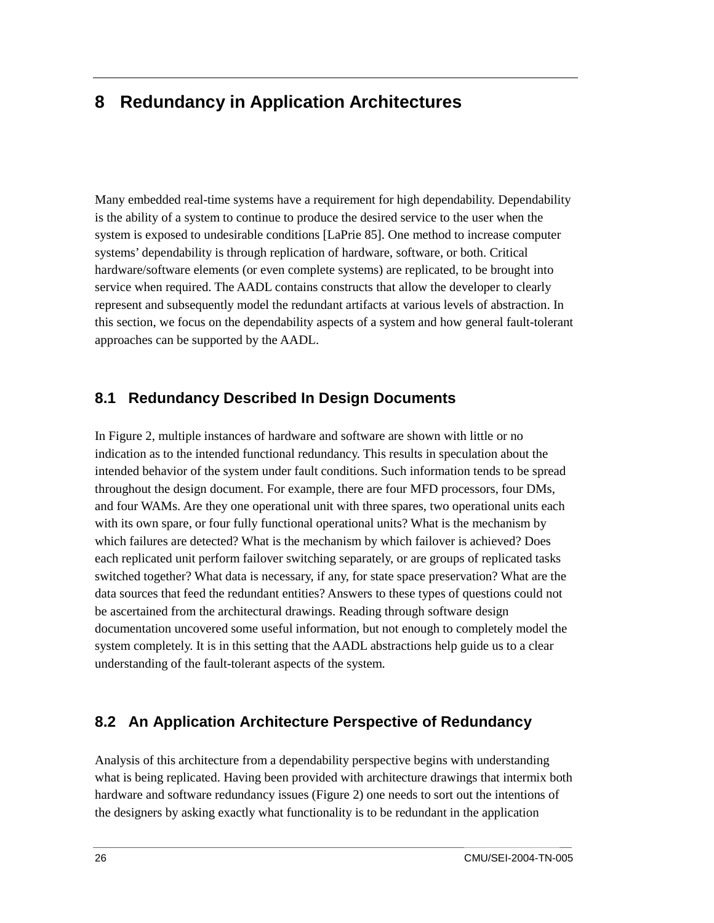### **8 Redundancy in Application Architectures**

Many embedded real-time systems have a requirement for high dependability. Dependability is the ability of a system to continue to produce the desired service to the user when the system is exposed to undesirable conditions [LaPrie 85]. One method to increase computer systems' dependability is through replication of hardware, software, or both. Critical hardware/software elements (or even complete systems) are replicated, to be brought into service when required. The AADL contains constructs that allow the developer to clearly represent and subsequently model the redundant artifacts at various levels of abstraction. In this section, we focus on the dependability aspects of a system and how general fault-tolerant approaches can be supported by the AADL.

#### **8.1 Redundancy Described In Design Documents**

In Figure 2, multiple instances of hardware and software are shown with little or no indication as to the intended functional redundancy. This results in speculation about the intended behavior of the system under fault conditions. Such information tends to be spread throughout the design document. For example, there are four MFD processors, four DMs, and four WAMs. Are they one operational unit with three spares, two operational units each with its own spare, or four fully functional operational units? What is the mechanism by which failures are detected? What is the mechanism by which failover is achieved? Does each replicated unit perform failover switching separately, or are groups of replicated tasks switched together? What data is necessary, if any, for state space preservation? What are the data sources that feed the redundant entities? Answers to these types of questions could not be ascertained from the architectural drawings. Reading through software design documentation uncovered some useful information, but not enough to completely model the system completely. It is in this setting that the AADL abstractions help guide us to a clear understanding of the fault-tolerant aspects of the system.

#### **8.2 An Application Architecture Perspective of Redundancy**

Analysis of this architecture from a dependability perspective begins with understanding what is being replicated. Having been provided with architecture drawings that intermix both hardware and software redundancy issues (Figure 2) one needs to sort out the intentions of the designers by asking exactly what functionality is to be redundant in the application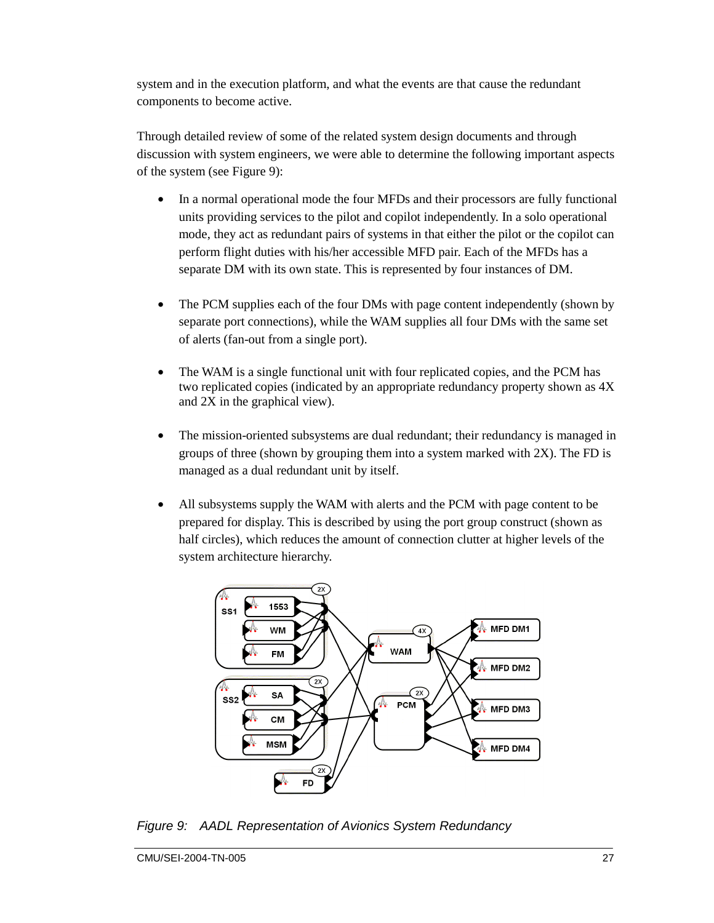system and in the execution platform, and what the events are that cause the redundant components to become active.

Through detailed review of some of the related system design documents and through discussion with system engineers, we were able to determine the following important aspects of the system (see Figure 9):

- In a normal operational mode the four MFDs and their processors are fully functional units providing services to the pilot and copilot independently. In a solo operational mode, they act as redundant pairs of systems in that either the pilot or the copilot can perform flight duties with his/her accessible MFD pair. Each of the MFDs has a separate DM with its own state. This is represented by four instances of DM.
- The PCM supplies each of the four DMs with page content independently (shown by separate port connections), while the WAM supplies all four DMs with the same set of alerts (fan-out from a single port).
- The WAM is a single functional unit with four replicated copies, and the PCM has two replicated copies (indicated by an appropriate redundancy property shown as 4X and 2X in the graphical view).
- The mission-oriented subsystems are dual redundant; their redundancy is managed in groups of three (shown by grouping them into a system marked with 2X). The FD is managed as a dual redundant unit by itself.
- All subsystems supply the WAM with alerts and the PCM with page content to be prepared for display. This is described by using the port group construct (shown as half circles), which reduces the amount of connection clutter at higher levels of the system architecture hierarchy.



*Figure 9: AADL Representation of Avionics System Redundancy*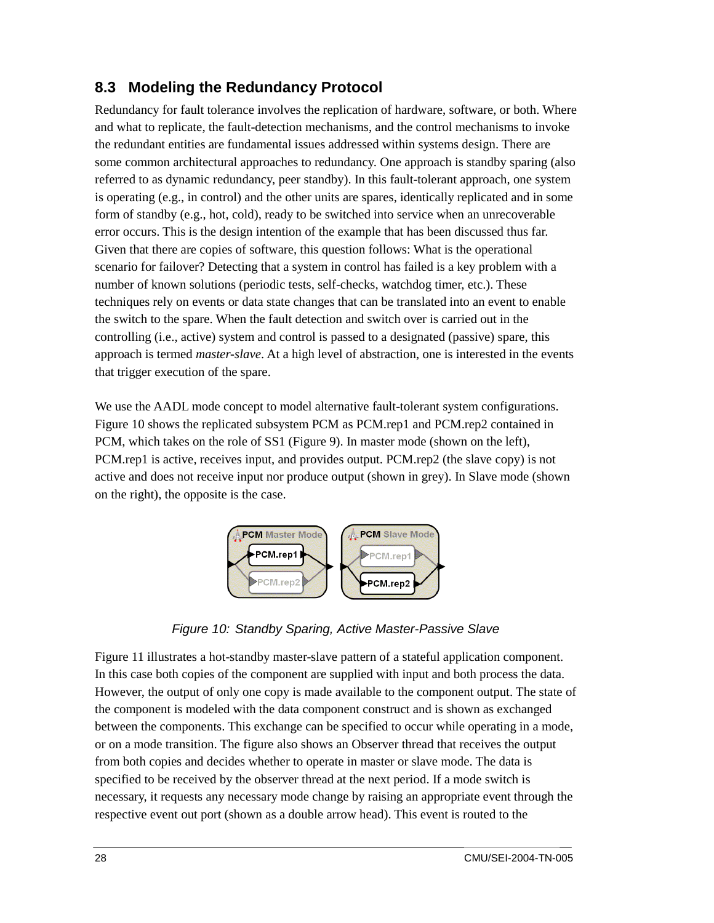### **8.3 Modeling the Redundancy Protocol**

Redundancy for fault tolerance involves the replication of hardware, software, or both. Where and what to replicate, the fault-detection mechanisms, and the control mechanisms to invoke the redundant entities are fundamental issues addressed within systems design. There are some common architectural approaches to redundancy. One approach is standby sparing (also referred to as dynamic redundancy, peer standby). In this fault-tolerant approach, one system is operating (e.g., in control) and the other units are spares, identically replicated and in some form of standby (e.g., hot, cold), ready to be switched into service when an unrecoverable error occurs. This is the design intention of the example that has been discussed thus far. Given that there are copies of software, this question follows: What is the operational scenario for failover? Detecting that a system in control has failed is a key problem with a number of known solutions (periodic tests, self-checks, watchdog timer, etc.). These techniques rely on events or data state changes that can be translated into an event to enable the switch to the spare. When the fault detection and switch over is carried out in the controlling (i.e., active) system and control is passed to a designated (passive) spare, this approach is termed *master-slave*. At a high level of abstraction, one is interested in the events that trigger execution of the spare.

We use the AADL mode concept to model alternative fault-tolerant system configurations. Figure 10 shows the replicated subsystem PCM as PCM.rep1 and PCM.rep2 contained in PCM, which takes on the role of SS1 (Figure 9). In master mode (shown on the left), PCM.rep1 is active, receives input, and provides output. PCM.rep2 (the slave copy) is not active and does not receive input nor produce output (shown in grey). In Slave mode (shown on the right), the opposite is the case.



*Figure 10: Standby Sparing, Active Master-Passive Slave* 

Figure 11 illustrates a hot-standby master-slave pattern of a stateful application component. In this case both copies of the component are supplied with input and both process the data. However, the output of only one copy is made available to the component output. The state of the component is modeled with the data component construct and is shown as exchanged between the components. This exchange can be specified to occur while operating in a mode, or on a mode transition. The figure also shows an Observer thread that receives the output from both copies and decides whether to operate in master or slave mode. The data is specified to be received by the observer thread at the next period. If a mode switch is necessary, it requests any necessary mode change by raising an appropriate event through the respective event out port (shown as a double arrow head). This event is routed to the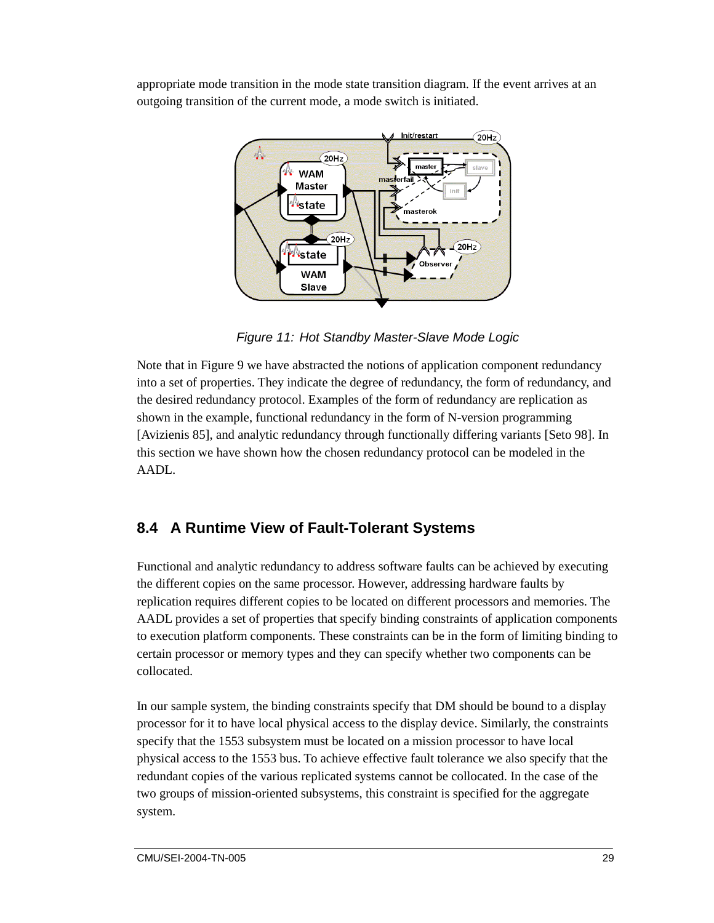appropriate mode transition in the mode state transition diagram. If the event arrives at an outgoing transition of the current mode, a mode switch is initiated.



*Figure 11: Hot Standby Master-Slave Mode Logic* 

Note that in Figure 9 we have abstracted the notions of application component redundancy into a set of properties. They indicate the degree of redundancy, the form of redundancy, and the desired redundancy protocol. Examples of the form of redundancy are replication as shown in the example, functional redundancy in the form of N-version programming [Avizienis 85], and analytic redundancy through functionally differing variants [Seto 98]. In this section we have shown how the chosen redundancy protocol can be modeled in the AADL.

# **8.4 A Runtime View of Fault-Tolerant Systems**

Functional and analytic redundancy to address software faults can be achieved by executing the different copies on the same processor. However, addressing hardware faults by replication requires different copies to be located on different processors and memories. The AADL provides a set of properties that specify binding constraints of application components to execution platform components. These constraints can be in the form of limiting binding to certain processor or memory types and they can specify whether two components can be collocated.

In our sample system, the binding constraints specify that DM should be bound to a display processor for it to have local physical access to the display device. Similarly, the constraints specify that the 1553 subsystem must be located on a mission processor to have local physical access to the 1553 bus. To achieve effective fault tolerance we also specify that the redundant copies of the various replicated systems cannot be collocated. In the case of the two groups of mission-oriented subsystems, this constraint is specified for the aggregate system.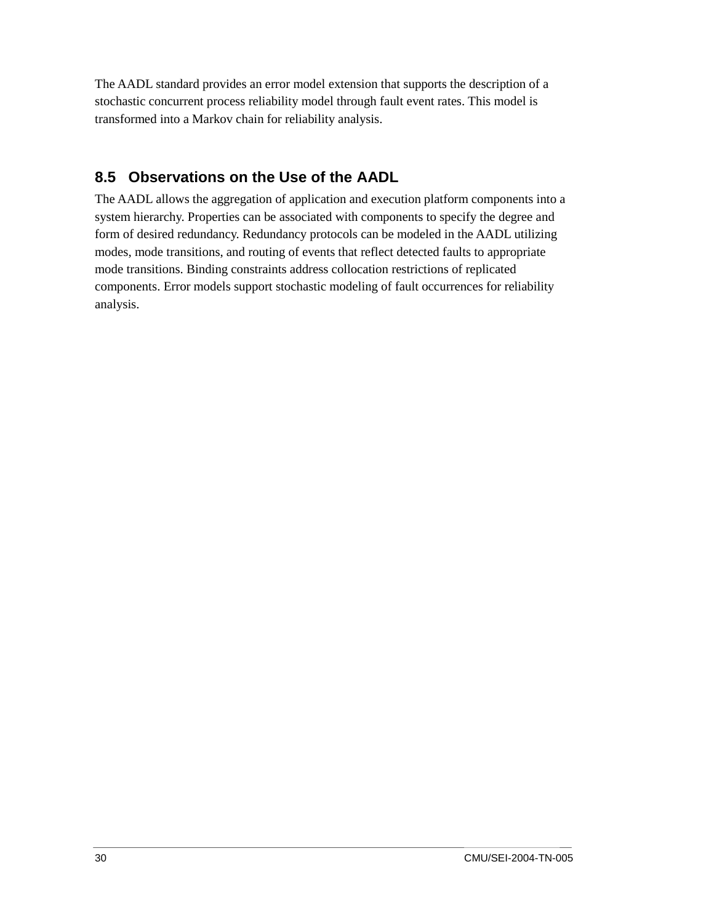The AADL standard provides an error model extension that supports the description of a stochastic concurrent process reliability model through fault event rates. This model is transformed into a Markov chain for reliability analysis.

### **8.5 Observations on the Use of the AADL**

The AADL allows the aggregation of application and execution platform components into a system hierarchy. Properties can be associated with components to specify the degree and form of desired redundancy. Redundancy protocols can be modeled in the AADL utilizing modes, mode transitions, and routing of events that reflect detected faults to appropriate mode transitions. Binding constraints address collocation restrictions of replicated components. Error models support stochastic modeling of fault occurrences for reliability analysis.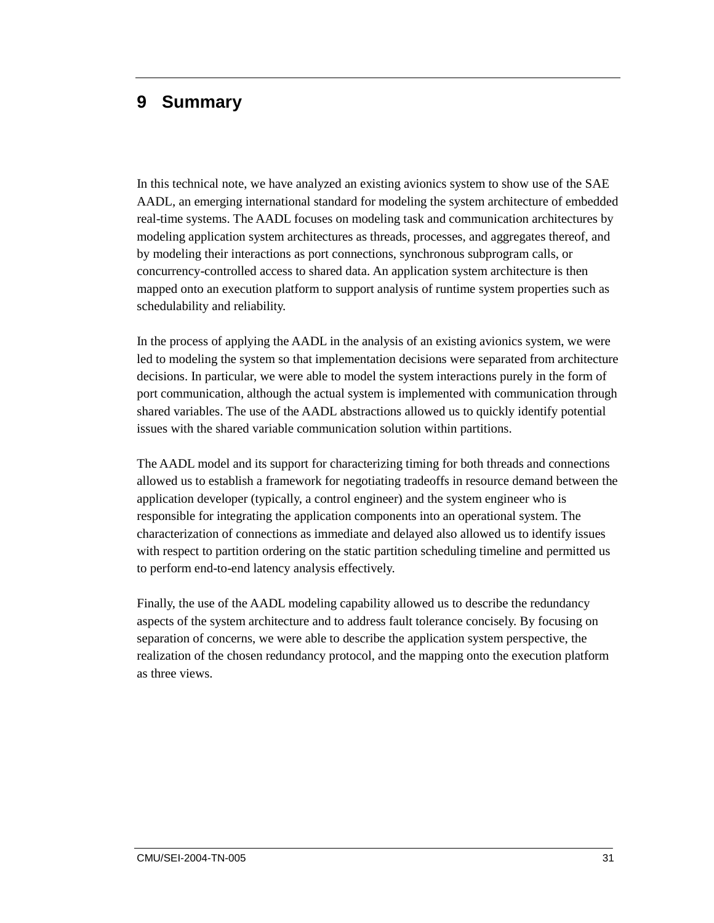## **9 Summary**

In this technical note, we have analyzed an existing avionics system to show use of the SAE AADL, an emerging international standard for modeling the system architecture of embedded real-time systems. The AADL focuses on modeling task and communication architectures by modeling application system architectures as threads, processes, and aggregates thereof, and by modeling their interactions as port connections, synchronous subprogram calls, or concurrency-controlled access to shared data. An application system architecture is then mapped onto an execution platform to support analysis of runtime system properties such as schedulability and reliability.

In the process of applying the AADL in the analysis of an existing avionics system, we were led to modeling the system so that implementation decisions were separated from architecture decisions. In particular, we were able to model the system interactions purely in the form of port communication, although the actual system is implemented with communication through shared variables. The use of the AADL abstractions allowed us to quickly identify potential issues with the shared variable communication solution within partitions.

The AADL model and its support for characterizing timing for both threads and connections allowed us to establish a framework for negotiating tradeoffs in resource demand between the application developer (typically, a control engineer) and the system engineer who is responsible for integrating the application components into an operational system. The characterization of connections as immediate and delayed also allowed us to identify issues with respect to partition ordering on the static partition scheduling timeline and permitted us to perform end-to-end latency analysis effectively.

Finally, the use of the AADL modeling capability allowed us to describe the redundancy aspects of the system architecture and to address fault tolerance concisely. By focusing on separation of concerns, we were able to describe the application system perspective, the realization of the chosen redundancy protocol, and the mapping onto the execution platform as three views.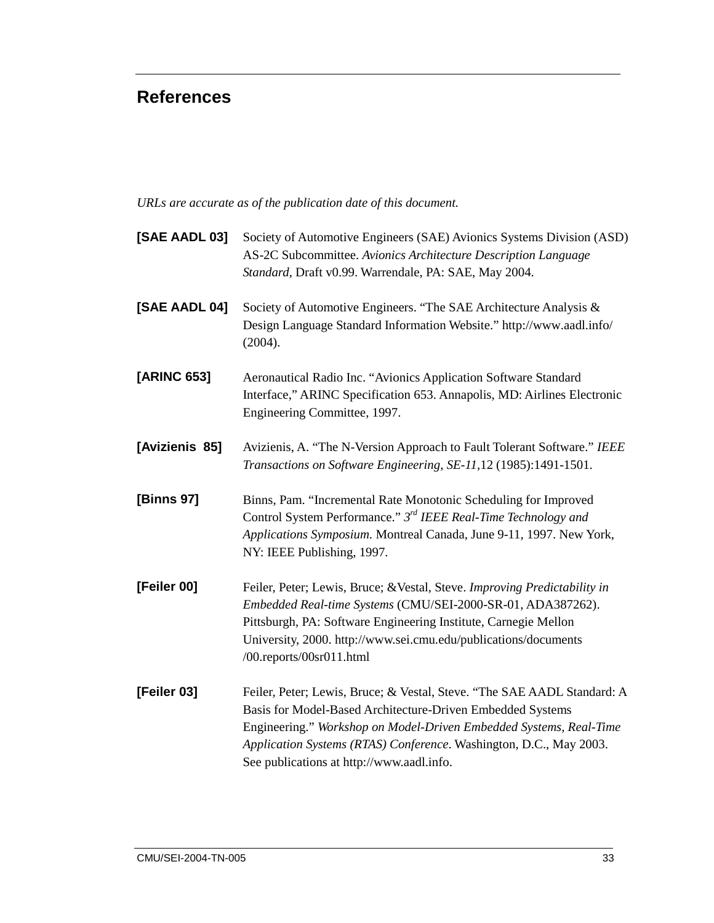## **References**

#### *URLs are accurate as of the publication date of this document.*

| [SAE AADL 03]  | Society of Automotive Engineers (SAE) Avionics Systems Division (ASD)<br>AS-2C Subcommittee. Avionics Architecture Description Language<br>Standard, Draft v0.99. Warrendale, PA: SAE, May 2004.                                                                                                                               |
|----------------|--------------------------------------------------------------------------------------------------------------------------------------------------------------------------------------------------------------------------------------------------------------------------------------------------------------------------------|
| [SAE AADL 04]  | Society of Automotive Engineers. "The SAE Architecture Analysis &<br>Design Language Standard Information Website." http://www.aadl.info/<br>(2004).                                                                                                                                                                           |
| [ARINC 653]    | Aeronautical Radio Inc. "Avionics Application Software Standard<br>Interface," ARINC Specification 653. Annapolis, MD: Airlines Electronic<br>Engineering Committee, 1997.                                                                                                                                                     |
| [Avizienis 85] | Avizienis, A. "The N-Version Approach to Fault Tolerant Software." IEEE<br>Transactions on Software Engineering, SE-11, 12 (1985): 1491-1501.                                                                                                                                                                                  |
| [Binns 97]     | Binns, Pam. "Incremental Rate Monotonic Scheduling for Improved<br>Control System Performance." 3 <sup>rd</sup> IEEE Real-Time Technology and<br>Applications Symposium. Montreal Canada, June 9-11, 1997. New York,<br>NY: IEEE Publishing, 1997.                                                                             |
| [Feiler 00]    | Feiler, Peter; Lewis, Bruce; & Vestal, Steve. Improving Predictability in<br>Embedded Real-time Systems (CMU/SEI-2000-SR-01, ADA387262).<br>Pittsburgh, PA: Software Engineering Institute, Carnegie Mellon<br>University, 2000. http://www.sei.cmu.edu/publications/documents<br>/00.reports/00sr011.html                     |
| [Feiler 03]    | Feiler, Peter; Lewis, Bruce; & Vestal, Steve. "The SAE AADL Standard: A<br>Basis for Model-Based Architecture-Driven Embedded Systems<br>Engineering." Workshop on Model-Driven Embedded Systems, Real-Time<br>Application Systems (RTAS) Conference. Washington, D.C., May 2003.<br>See publications at http://www.aadl.info. |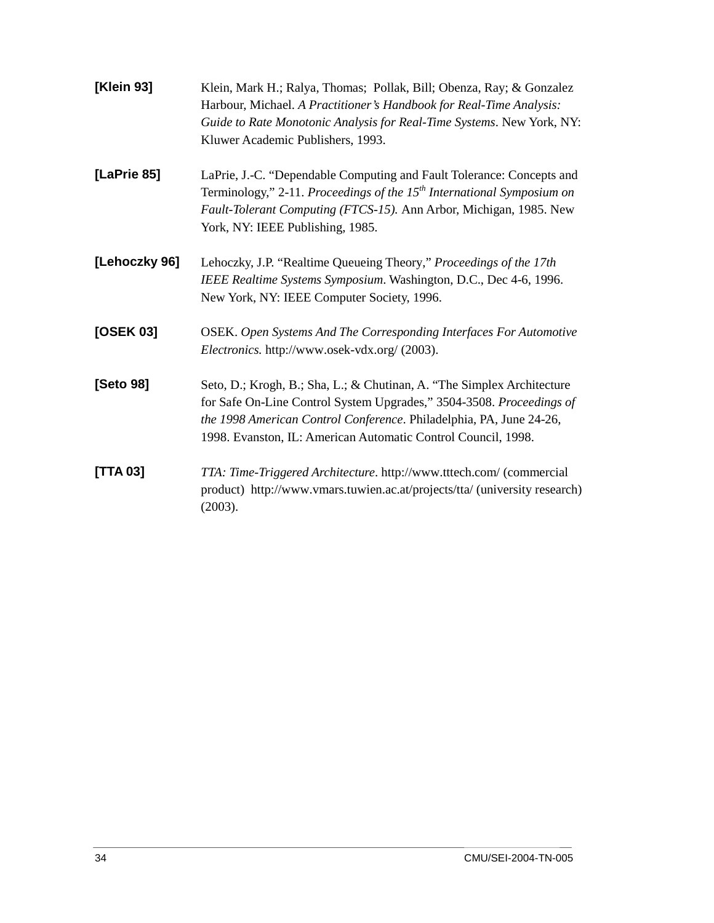| [Klein 93]    | Klein, Mark H.; Ralya, Thomas; Pollak, Bill; Obenza, Ray; & Gonzalez<br>Harbour, Michael. A Practitioner's Handbook for Real-Time Analysis:<br>Guide to Rate Monotonic Analysis for Real-Time Systems. New York, NY:<br>Kluwer Academic Publishers, 1993.                              |
|---------------|----------------------------------------------------------------------------------------------------------------------------------------------------------------------------------------------------------------------------------------------------------------------------------------|
| [LaPrie 85]   | LaPrie, J.-C. "Dependable Computing and Fault Tolerance: Concepts and<br>Terminology," 2-11. Proceedings of the $15th$ International Symposium on<br>Fault-Tolerant Computing (FTCS-15). Ann Arbor, Michigan, 1985. New<br>York, NY: IEEE Publishing, 1985.                            |
| [Lehoczky 96] | Lehoczky, J.P. "Realtime Queueing Theory," Proceedings of the 17th<br>IEEE Realtime Systems Symposium. Washington, D.C., Dec 4-6, 1996.<br>New York, NY: IEEE Computer Society, 1996.                                                                                                  |
| [OSEK 03]     | OSEK. Open Systems And The Corresponding Interfaces For Automotive<br><i>Electronics.</i> http://www.osek-vdx.org/ (2003).                                                                                                                                                             |
| [Seto 98]     | Seto, D.; Krogh, B.; Sha, L.; & Chutinan, A. "The Simplex Architecture<br>for Safe On-Line Control System Upgrades," 3504-3508. Proceedings of<br>the 1998 American Control Conference. Philadelphia, PA, June 24-26,<br>1998. Evanston, IL: American Automatic Control Council, 1998. |
| [TTA 03]      | TTA: Time-Triggered Architecture. http://www.tttech.com/ (commercial<br>product) http://www.vmars.tuwien.ac.at/projects/tta/ (university research)<br>(2003).                                                                                                                          |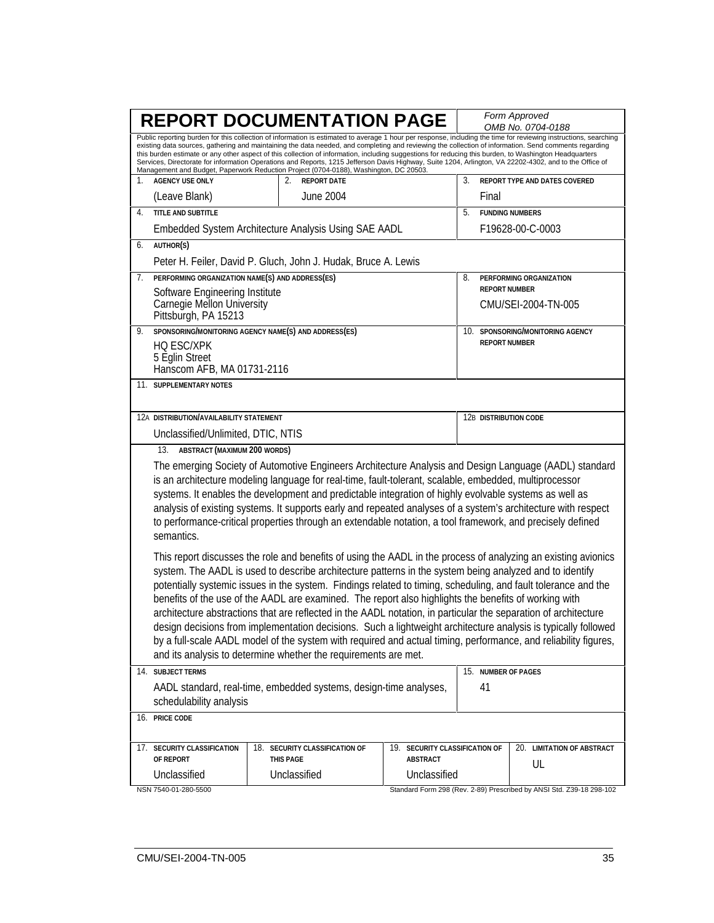| <b>REPORT DOCUMENTATION PAGE</b>                                                                                                                                                                                                                                                                                                                                                                                                                                                                                                                                                                                                                                                                                                                                                                                                                                                |                                                                                                                                                                                                                                                                                                                                                                                                                                                                                                                                                                                                         |                                             | Form Approved<br>OMB No. 0704-0188 |                                      |  |  |  |
|---------------------------------------------------------------------------------------------------------------------------------------------------------------------------------------------------------------------------------------------------------------------------------------------------------------------------------------------------------------------------------------------------------------------------------------------------------------------------------------------------------------------------------------------------------------------------------------------------------------------------------------------------------------------------------------------------------------------------------------------------------------------------------------------------------------------------------------------------------------------------------|---------------------------------------------------------------------------------------------------------------------------------------------------------------------------------------------------------------------------------------------------------------------------------------------------------------------------------------------------------------------------------------------------------------------------------------------------------------------------------------------------------------------------------------------------------------------------------------------------------|---------------------------------------------|------------------------------------|--------------------------------------|--|--|--|
| Public reporting burden for this collection of information is estimated to average 1 hour per response, including the time for reviewing instructions, searching<br>existing data sources, gathering and maintaining the data needed, and completing and reviewing the collection of information. Send comments regarding<br>this burden estimate or any other aspect of this collection of information, including suggestions for reducing this burden, to Washington Headquarters<br>Services, Directorate for information Operations and Reports, 1215 Jefferson Davis Highway, Suite 1204, Arlington, VA 22202-4302, and to the Office of<br>Management and Budget, Paperwork Reduction Project (0704-0188), Washington, DC 20503.                                                                                                                                          |                                                                                                                                                                                                                                                                                                                                                                                                                                                                                                                                                                                                         |                                             |                                    |                                      |  |  |  |
| 1.<br><b>AGENCY USE ONLY</b>                                                                                                                                                                                                                                                                                                                                                                                                                                                                                                                                                                                                                                                                                                                                                                                                                                                    | <b>REPORT DATE</b><br>2.                                                                                                                                                                                                                                                                                                                                                                                                                                                                                                                                                                                |                                             | 3.                                 | <b>REPORT TYPE AND DATES COVERED</b> |  |  |  |
| (Leave Blank)                                                                                                                                                                                                                                                                                                                                                                                                                                                                                                                                                                                                                                                                                                                                                                                                                                                                   | <b>June 2004</b>                                                                                                                                                                                                                                                                                                                                                                                                                                                                                                                                                                                        |                                             | Final                              |                                      |  |  |  |
| <b>TITLE AND SUBTITLE</b><br>4.                                                                                                                                                                                                                                                                                                                                                                                                                                                                                                                                                                                                                                                                                                                                                                                                                                                 |                                                                                                                                                                                                                                                                                                                                                                                                                                                                                                                                                                                                         |                                             | 5.                                 | <b>FUNDING NUMBERS</b>               |  |  |  |
|                                                                                                                                                                                                                                                                                                                                                                                                                                                                                                                                                                                                                                                                                                                                                                                                                                                                                 | Embedded System Architecture Analysis Using SAE AADL                                                                                                                                                                                                                                                                                                                                                                                                                                                                                                                                                    |                                             |                                    | F19628-00-C-0003                     |  |  |  |
| <b>AUTHOR(S)</b><br>6.                                                                                                                                                                                                                                                                                                                                                                                                                                                                                                                                                                                                                                                                                                                                                                                                                                                          | Peter H. Feiler, David P. Gluch, John J. Hudak, Bruce A. Lewis                                                                                                                                                                                                                                                                                                                                                                                                                                                                                                                                          |                                             |                                    |                                      |  |  |  |
| PERFORMING ORGANIZATION NAME(S) AND ADDRESS(ES)<br>7.                                                                                                                                                                                                                                                                                                                                                                                                                                                                                                                                                                                                                                                                                                                                                                                                                           |                                                                                                                                                                                                                                                                                                                                                                                                                                                                                                                                                                                                         |                                             | 8.<br>PERFORMING ORGANIZATION      |                                      |  |  |  |
| Software Engineering Institute<br>Carnegie Mellon University<br>Pittsburgh, PA 15213                                                                                                                                                                                                                                                                                                                                                                                                                                                                                                                                                                                                                                                                                                                                                                                            |                                                                                                                                                                                                                                                                                                                                                                                                                                                                                                                                                                                                         | <b>REPORT NUMBER</b><br>CMU/SEI-2004-TN-005 |                                    |                                      |  |  |  |
| 9.                                                                                                                                                                                                                                                                                                                                                                                                                                                                                                                                                                                                                                                                                                                                                                                                                                                                              | SPONSORING/MONITORING AGENCY NAME(S) AND ADDRESS(ES)                                                                                                                                                                                                                                                                                                                                                                                                                                                                                                                                                    |                                             |                                    | 10. SPONSORING/MONITORING AGENCY     |  |  |  |
| <b>HQ ESC/XPK</b><br>5 Eglin Street<br>Hanscom AFB, MA 01731-2116                                                                                                                                                                                                                                                                                                                                                                                                                                                                                                                                                                                                                                                                                                                                                                                                               |                                                                                                                                                                                                                                                                                                                                                                                                                                                                                                                                                                                                         |                                             | <b>REPORT NUMBER</b>               |                                      |  |  |  |
| 11. SUPPLEMENTARY NOTES                                                                                                                                                                                                                                                                                                                                                                                                                                                                                                                                                                                                                                                                                                                                                                                                                                                         |                                                                                                                                                                                                                                                                                                                                                                                                                                                                                                                                                                                                         |                                             |                                    |                                      |  |  |  |
| 12A DISTRIBUTION/AVAILABILITY STATEMENT                                                                                                                                                                                                                                                                                                                                                                                                                                                                                                                                                                                                                                                                                                                                                                                                                                         |                                                                                                                                                                                                                                                                                                                                                                                                                                                                                                                                                                                                         |                                             | 12B DISTRIBUTION CODE              |                                      |  |  |  |
| Unclassified/Unlimited, DTIC, NTIS                                                                                                                                                                                                                                                                                                                                                                                                                                                                                                                                                                                                                                                                                                                                                                                                                                              |                                                                                                                                                                                                                                                                                                                                                                                                                                                                                                                                                                                                         |                                             |                                    |                                      |  |  |  |
| semantics.                                                                                                                                                                                                                                                                                                                                                                                                                                                                                                                                                                                                                                                                                                                                                                                                                                                                      | <b>ABSTRACT (MAXIMUM 200 WORDS)</b><br>13.<br>The emerging Society of Automotive Engineers Architecture Analysis and Design Language (AADL) standard<br>is an architecture modeling language for real-time, fault-tolerant, scalable, embedded, multiprocessor<br>systems. It enables the development and predictable integration of highly evolvable systems as well as<br>analysis of existing systems. It supports early and repeated analyses of a system's architecture with respect<br>to performance-critical properties through an extendable notation, a tool framework, and precisely defined |                                             |                                    |                                      |  |  |  |
| This report discusses the role and benefits of using the AADL in the process of analyzing an existing avionics<br>system. The AADL is used to describe architecture patterns in the system being analyzed and to identify<br>potentially systemic issues in the system. Findings related to timing, scheduling, and fault tolerance and the<br>benefits of the use of the AADL are examined. The report also highlights the benefits of working with<br>architecture abstractions that are reflected in the AADL notation, in particular the separation of architecture<br>design decisions from implementation decisions. Such a lightweight architecture analysis is typically followed<br>by a full-scale AADL model of the system with required and actual timing, performance, and reliability figures,<br>and its analysis to determine whether the requirements are met. |                                                                                                                                                                                                                                                                                                                                                                                                                                                                                                                                                                                                         |                                             |                                    |                                      |  |  |  |
| 14. SUBJECT TERMS                                                                                                                                                                                                                                                                                                                                                                                                                                                                                                                                                                                                                                                                                                                                                                                                                                                               |                                                                                                                                                                                                                                                                                                                                                                                                                                                                                                                                                                                                         |                                             | 15. NUMBER OF PAGES                |                                      |  |  |  |
| schedulability analysis                                                                                                                                                                                                                                                                                                                                                                                                                                                                                                                                                                                                                                                                                                                                                                                                                                                         | AADL standard, real-time, embedded systems, design-time analyses,                                                                                                                                                                                                                                                                                                                                                                                                                                                                                                                                       |                                             |                                    |                                      |  |  |  |
| 16. PRICE CODE                                                                                                                                                                                                                                                                                                                                                                                                                                                                                                                                                                                                                                                                                                                                                                                                                                                                  |                                                                                                                                                                                                                                                                                                                                                                                                                                                                                                                                                                                                         |                                             |                                    |                                      |  |  |  |
| 17. SECURITY CLASSIFICATION                                                                                                                                                                                                                                                                                                                                                                                                                                                                                                                                                                                                                                                                                                                                                                                                                                                     | 18. SECURITY CLASSIFICATION OF                                                                                                                                                                                                                                                                                                                                                                                                                                                                                                                                                                          | 19. SECURITY CLASSIFICATION OF              |                                    | 20. LIMITATION OF ABSTRACT           |  |  |  |
| Unclassified                                                                                                                                                                                                                                                                                                                                                                                                                                                                                                                                                                                                                                                                                                                                                                                                                                                                    | OF REPORT<br>THIS PAGE<br><b>ABSTRACT</b><br>Unclassified<br>Unclassified                                                                                                                                                                                                                                                                                                                                                                                                                                                                                                                               |                                             |                                    | UL                                   |  |  |  |
|                                                                                                                                                                                                                                                                                                                                                                                                                                                                                                                                                                                                                                                                                                                                                                                                                                                                                 | Standard Form 298 (Rev. 2-89) Prescribed by ANSI Std. Z39-18 298-102<br>NSN 7540-01-280-5500                                                                                                                                                                                                                                                                                                                                                                                                                                                                                                            |                                             |                                    |                                      |  |  |  |